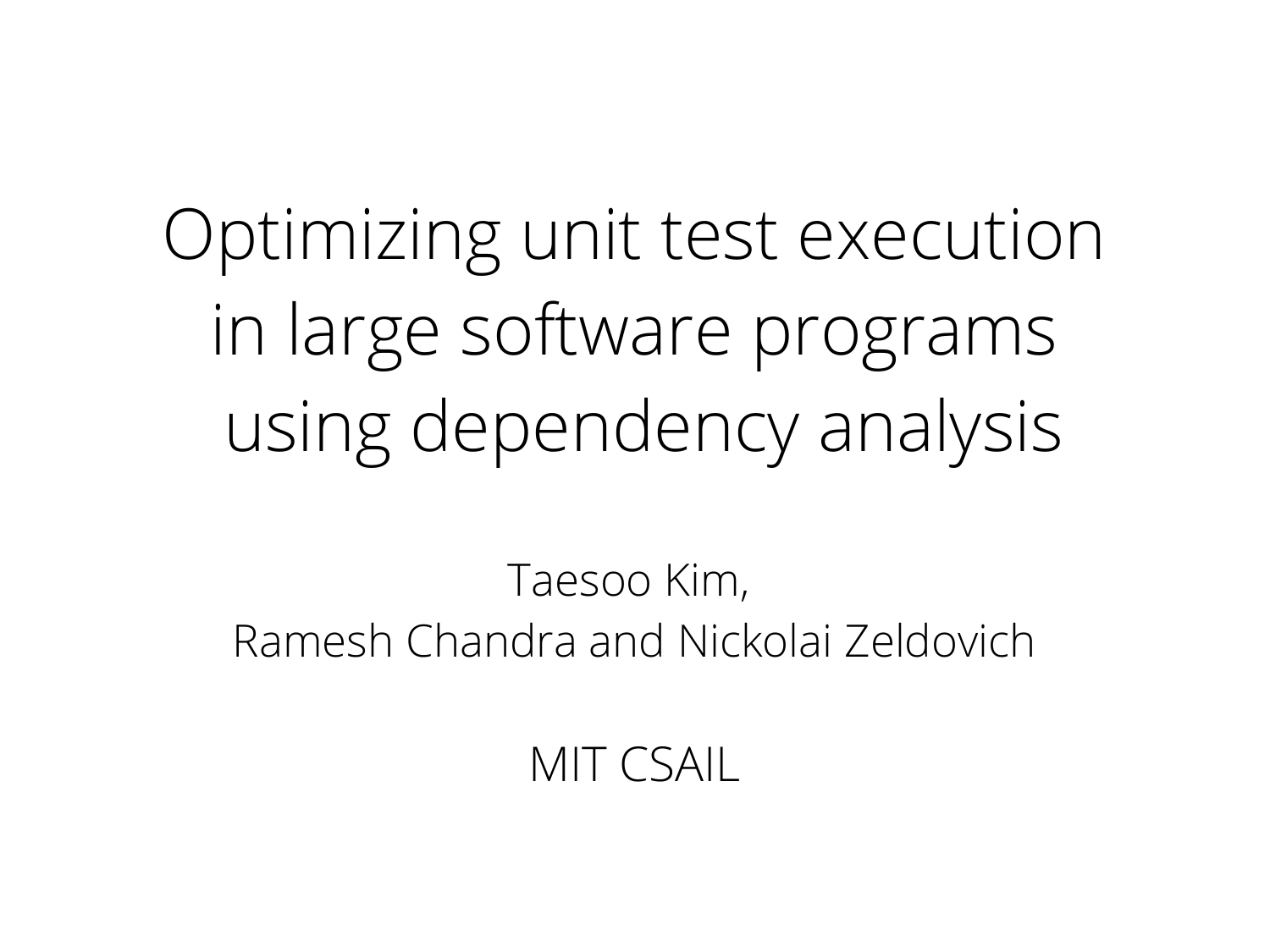Optimizing unit test execution in large software programs using dependency analysis

Taesoo Kim, Ramesh Chandra and Nickolai Zeldovich

MIT CSAIL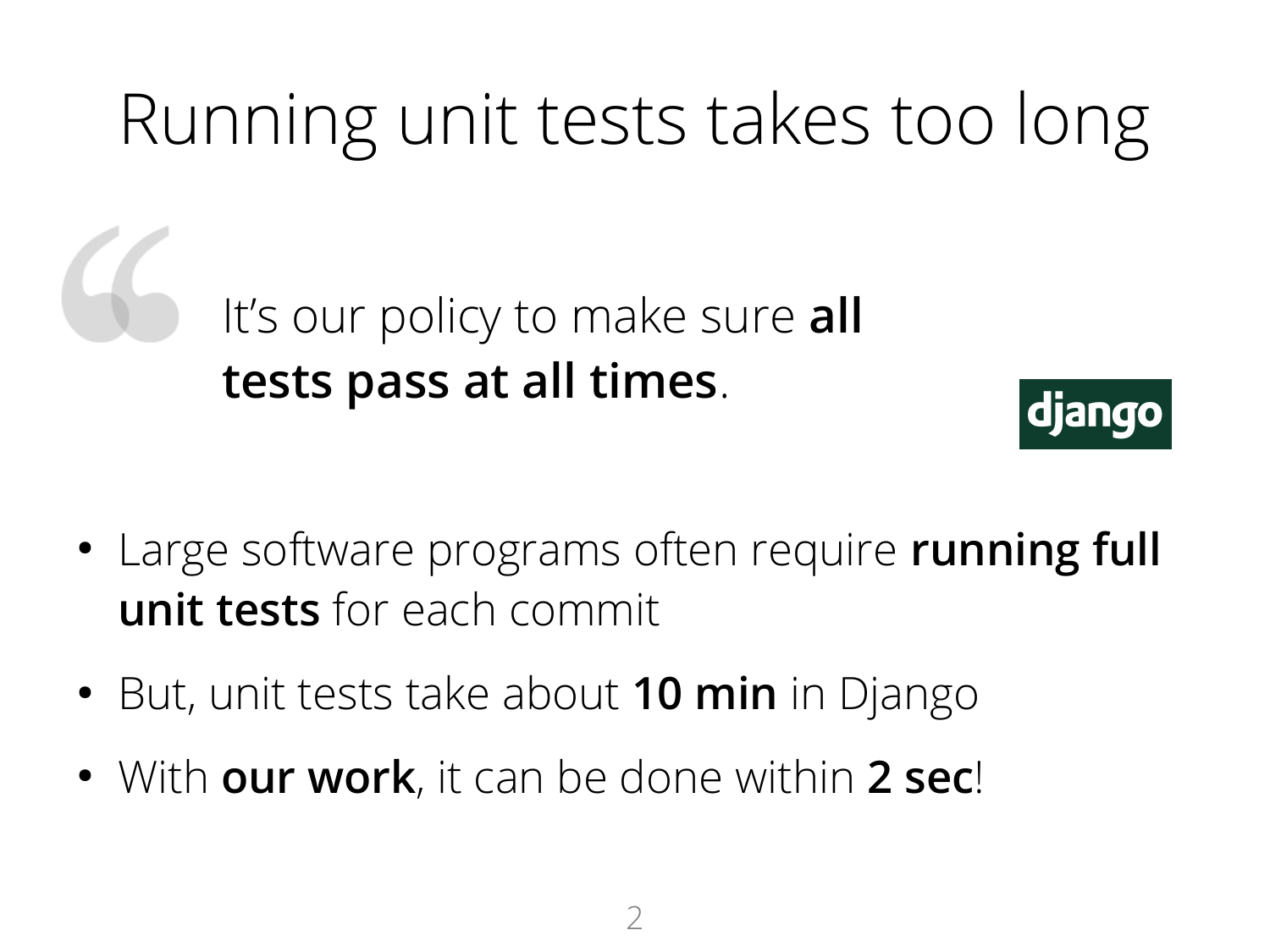### Running unit tests takes too long

It's our policy to make sure **all tests pass at all times**.



- Large software programs often require **running full unit tests** for each commit
- But, unit tests take about **10 min** in Django
- With **our work**, it can be done within **2 sec**!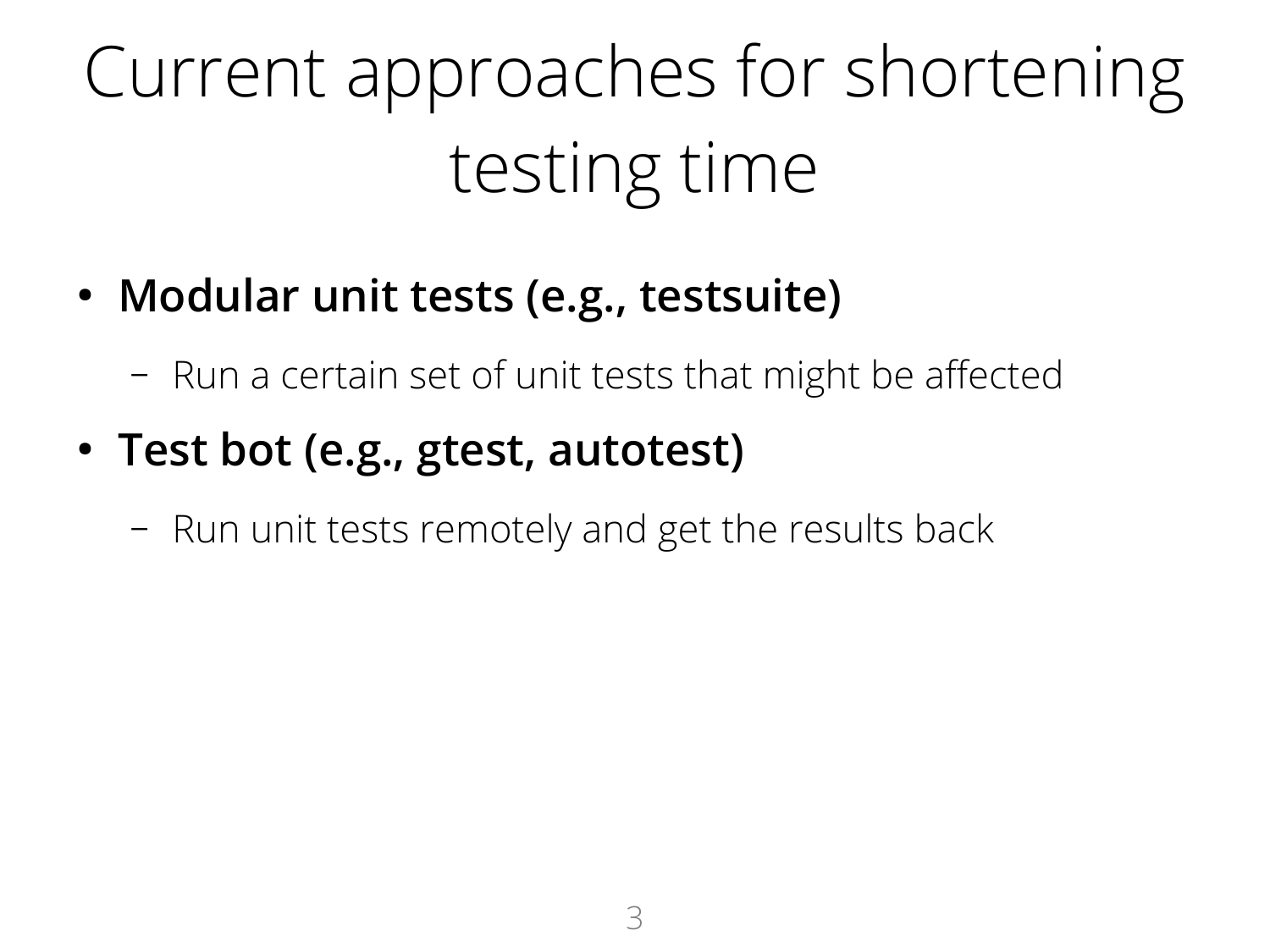# Current approaches for shortening testing time

- **Modular unit tests (e.g., testsuite)**
	- Run a certain set of unit tests that might be affected
- **Test bot (e.g., gtest, autotest)**
	- Run unit tests remotely and get the results back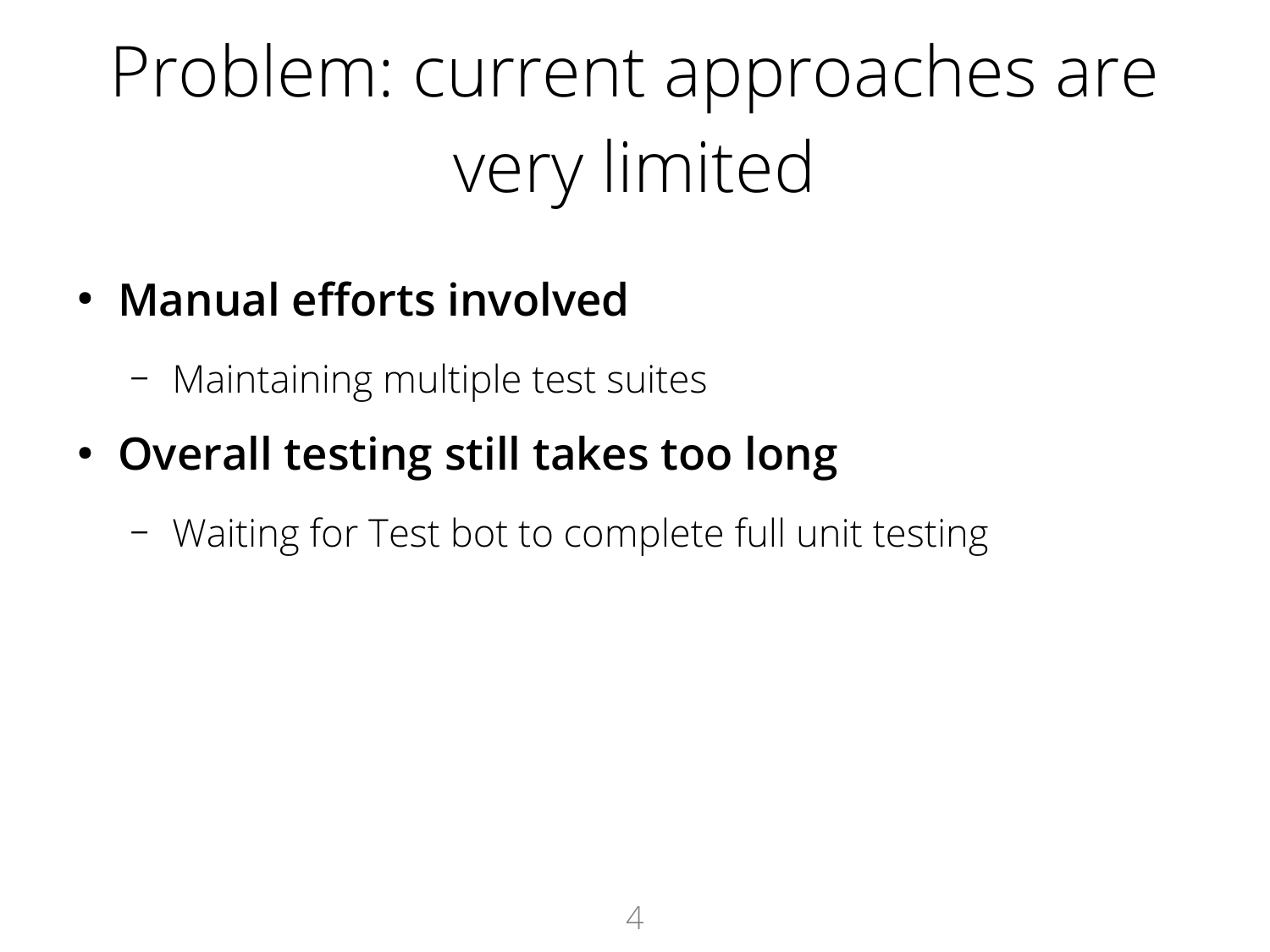# Problem: current approaches are very limited

#### ● **Manual efforts involved**

- Maintaining multiple test suites
- **Overall testing still takes too long**
	- Waiting for Test bot to complete full unit testing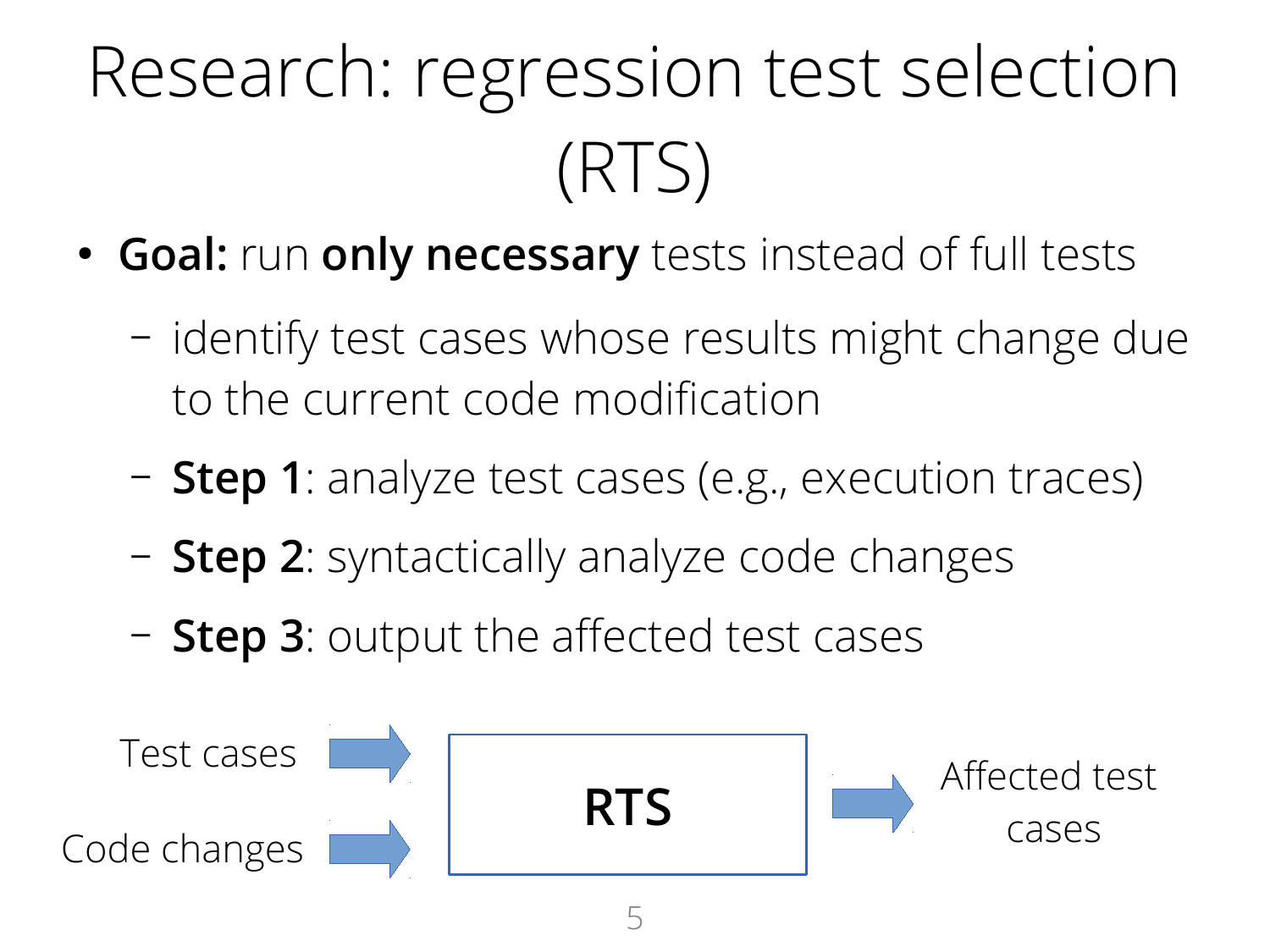# Research: regression test selection (RTS)

- **Goal:** run **only necessary** tests instead of full tests
	- identify test cases whose results might change due to the current code modification
	- **Step 1**: analyze test cases (e.g., execution traces)
	- **Step 2**: syntactically analyze code changes
	- **Step 3**: output the affected test cases

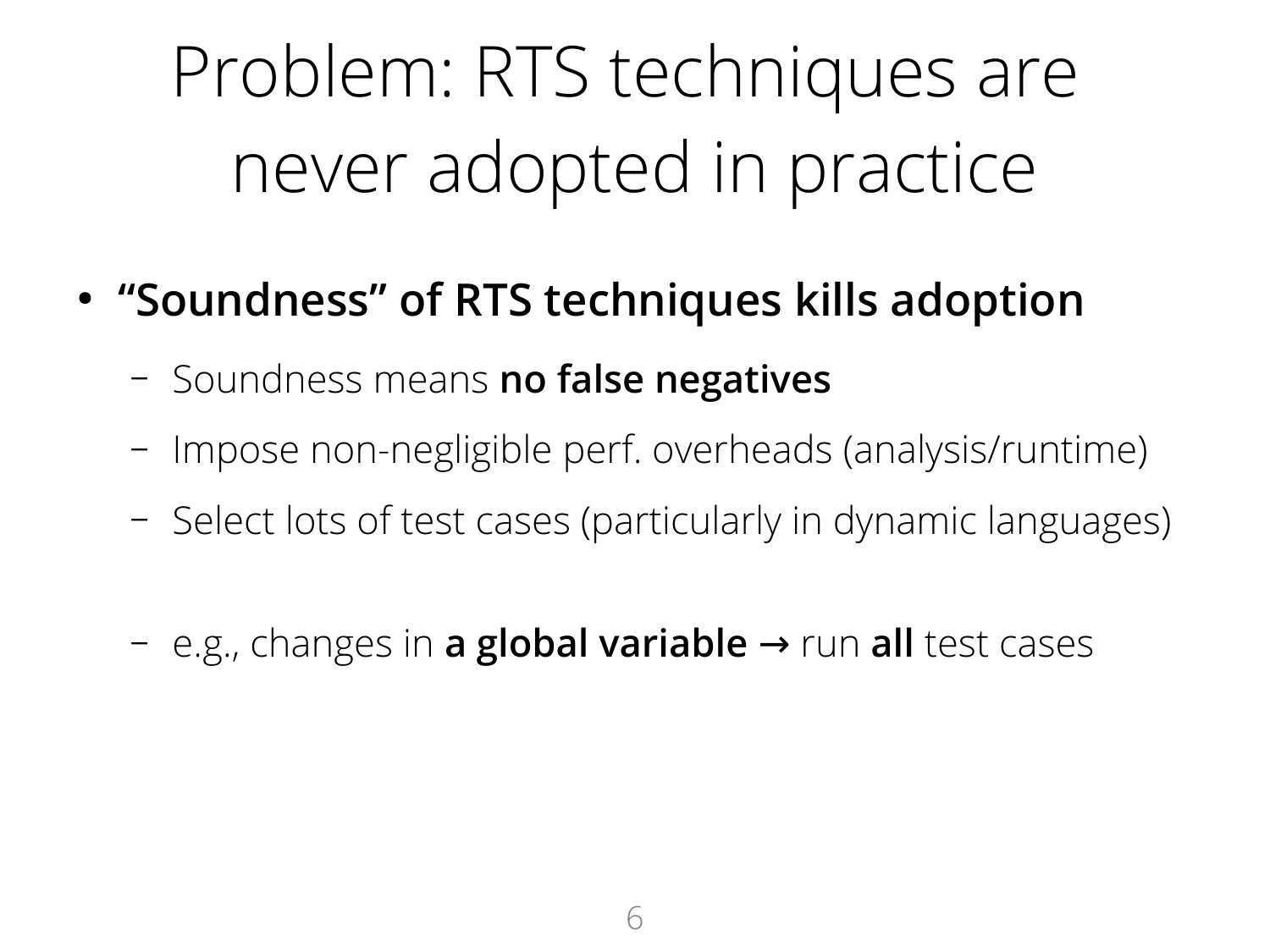# Problem: RTS techniques are never adopted in practice

- **"Soundness" of RTS techniques kills adoption**
	- Soundness means **no false negatives**
	- Impose non-negligible perf. overheads (analysis/runtime)
	- Select lots of test cases (particularly in dynamic languages)
	- $-$  e.g., changes in **a global variable** → run all test cases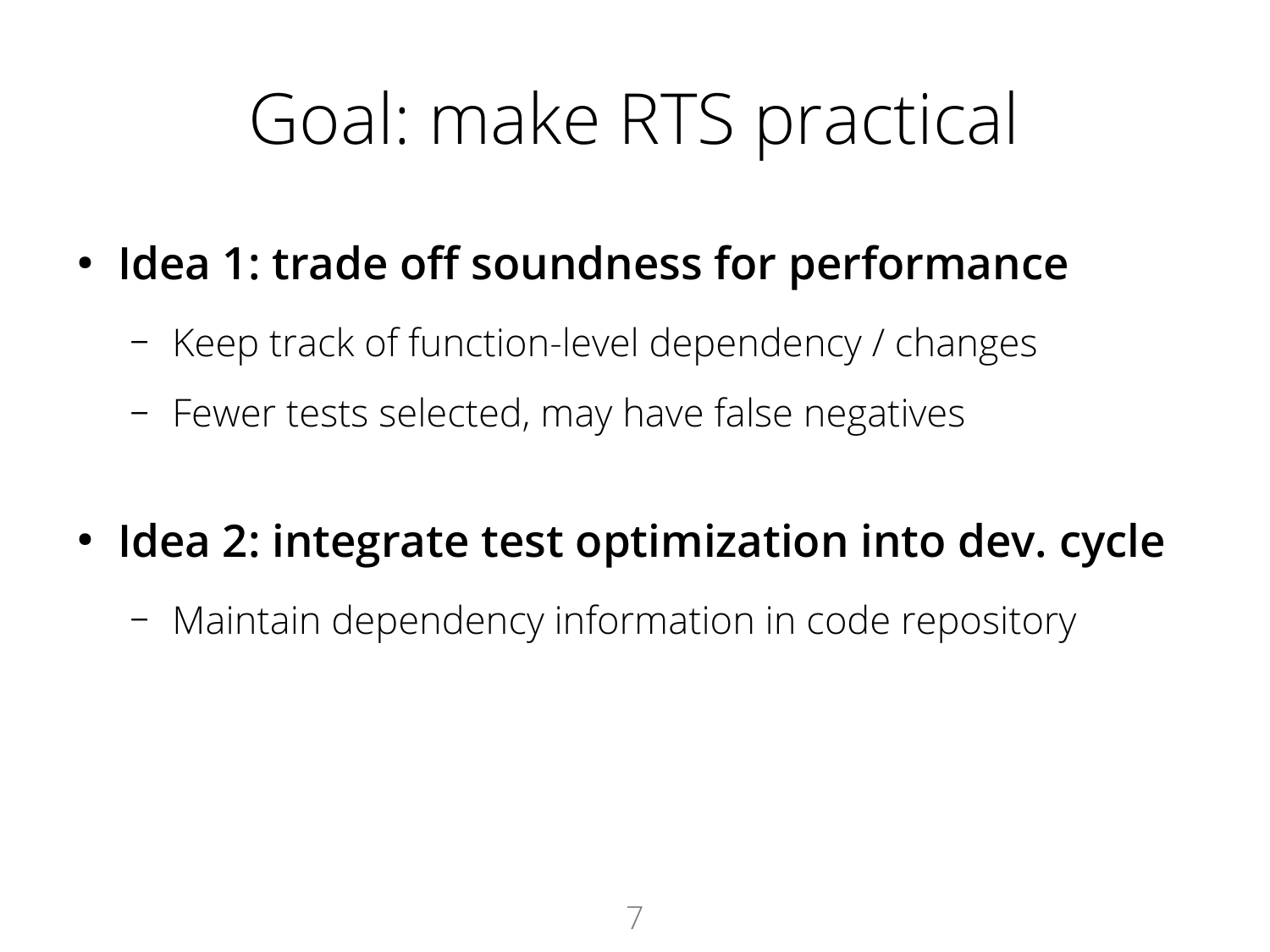### Goal: make RTS practical

- **Idea 1: trade off soundness for performance**
	- Keep track of function-level dependency / changes
	- Fewer tests selected, may have false negatives
- **Idea 2: integrate test optimization into dev. cycle**
	- Maintain dependency information in code repository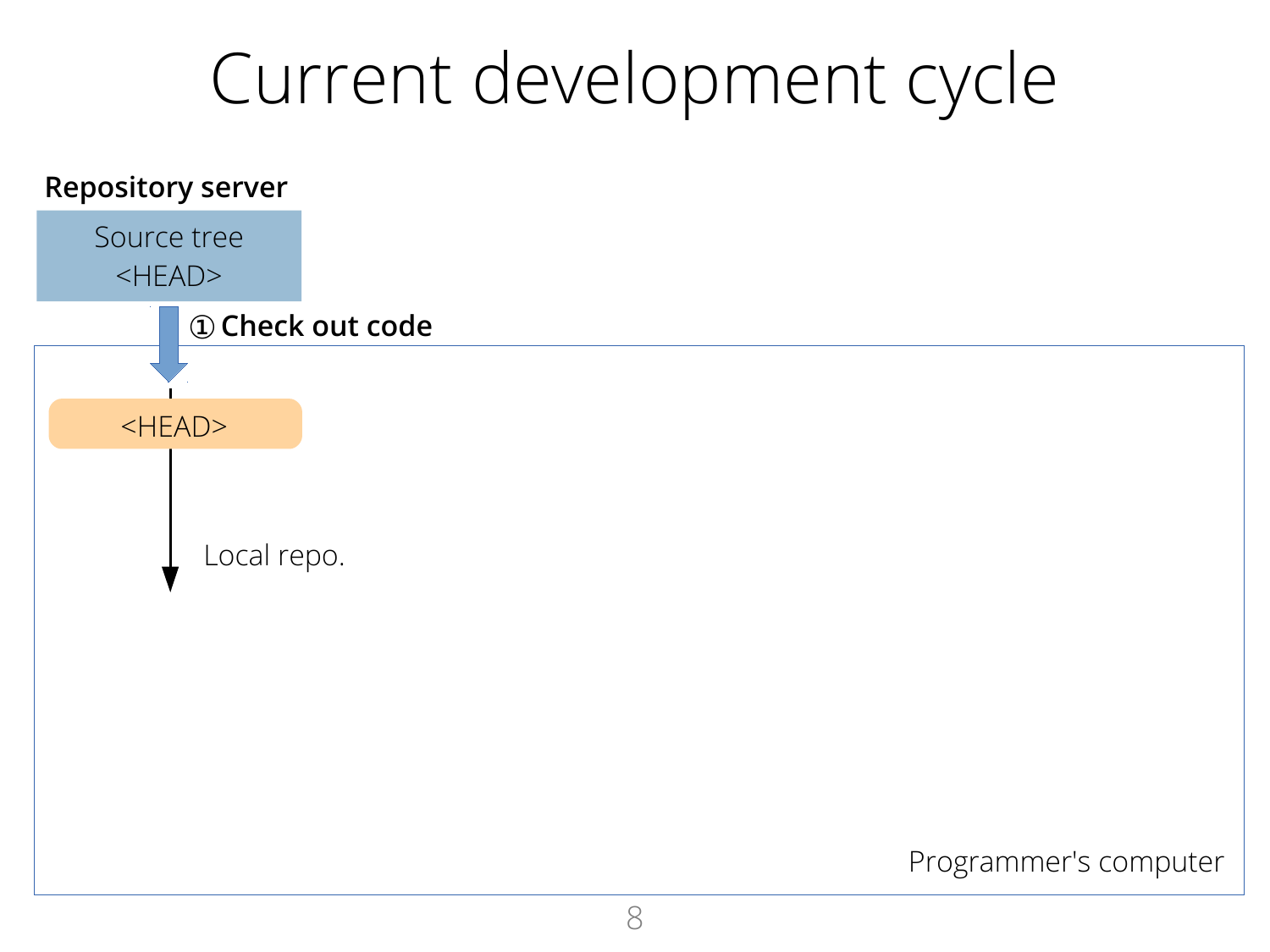#### Current development cycle

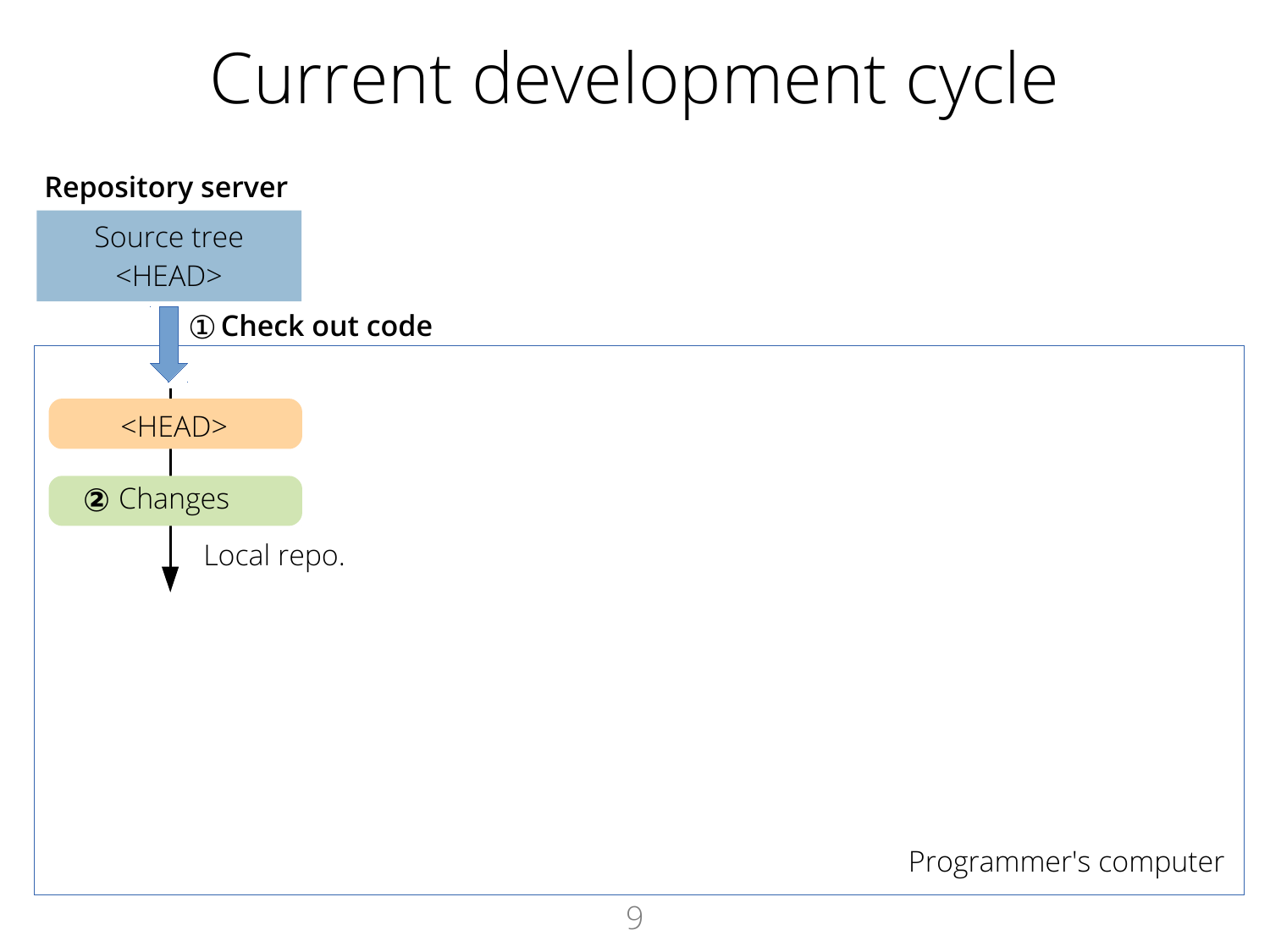#### Current development cycle

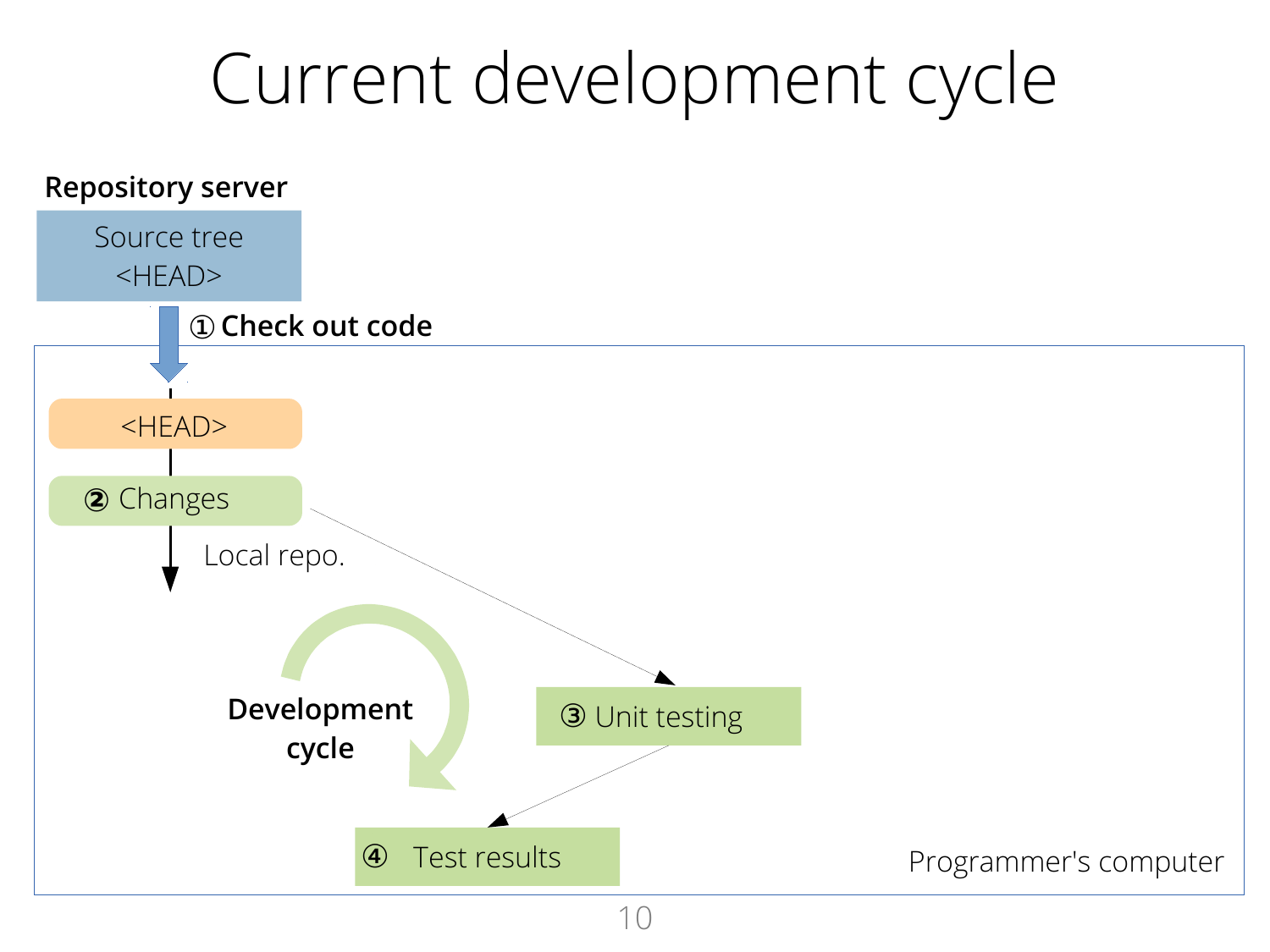#### Current development cycle

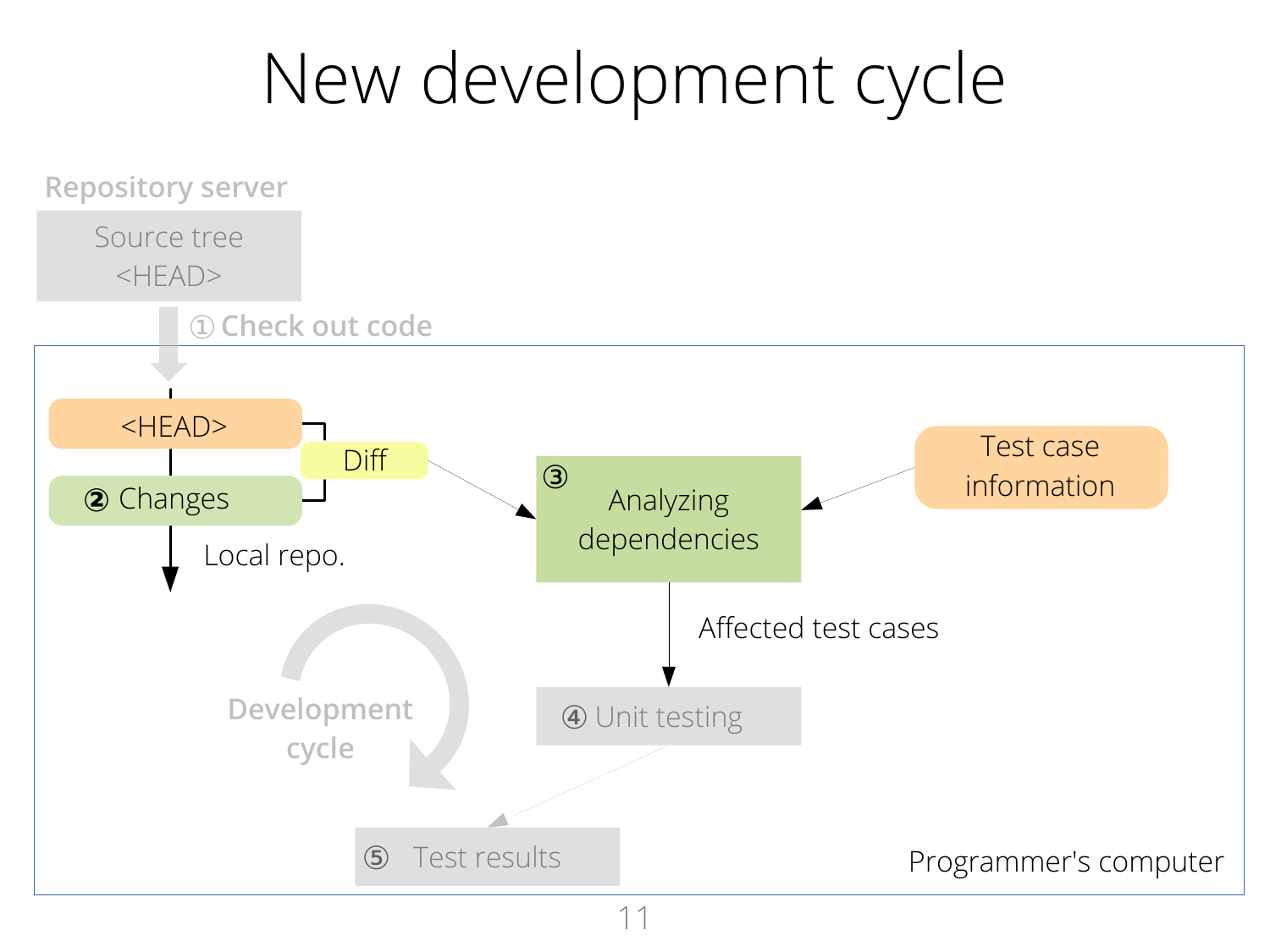#### New development cycle

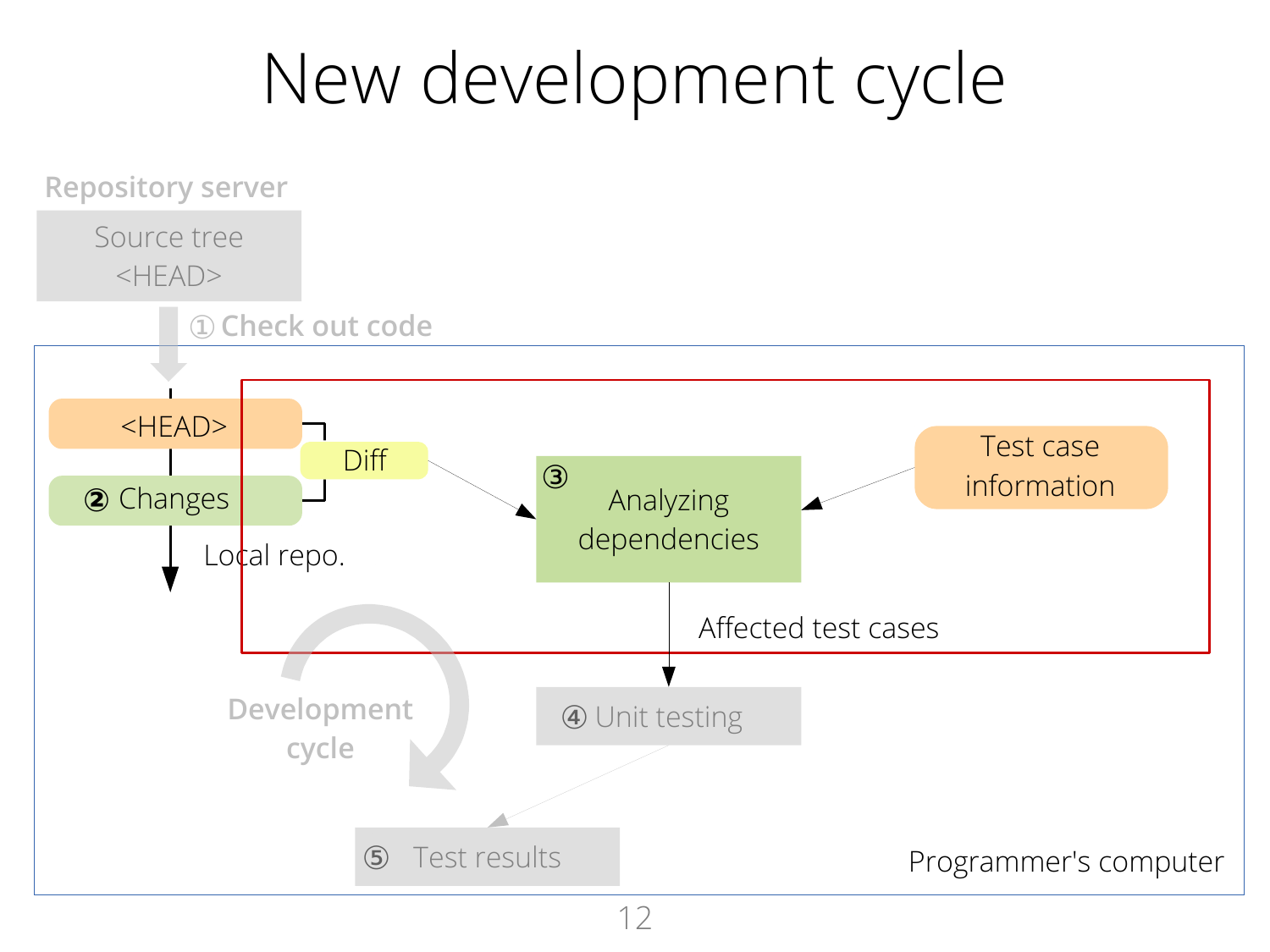#### New development cycle

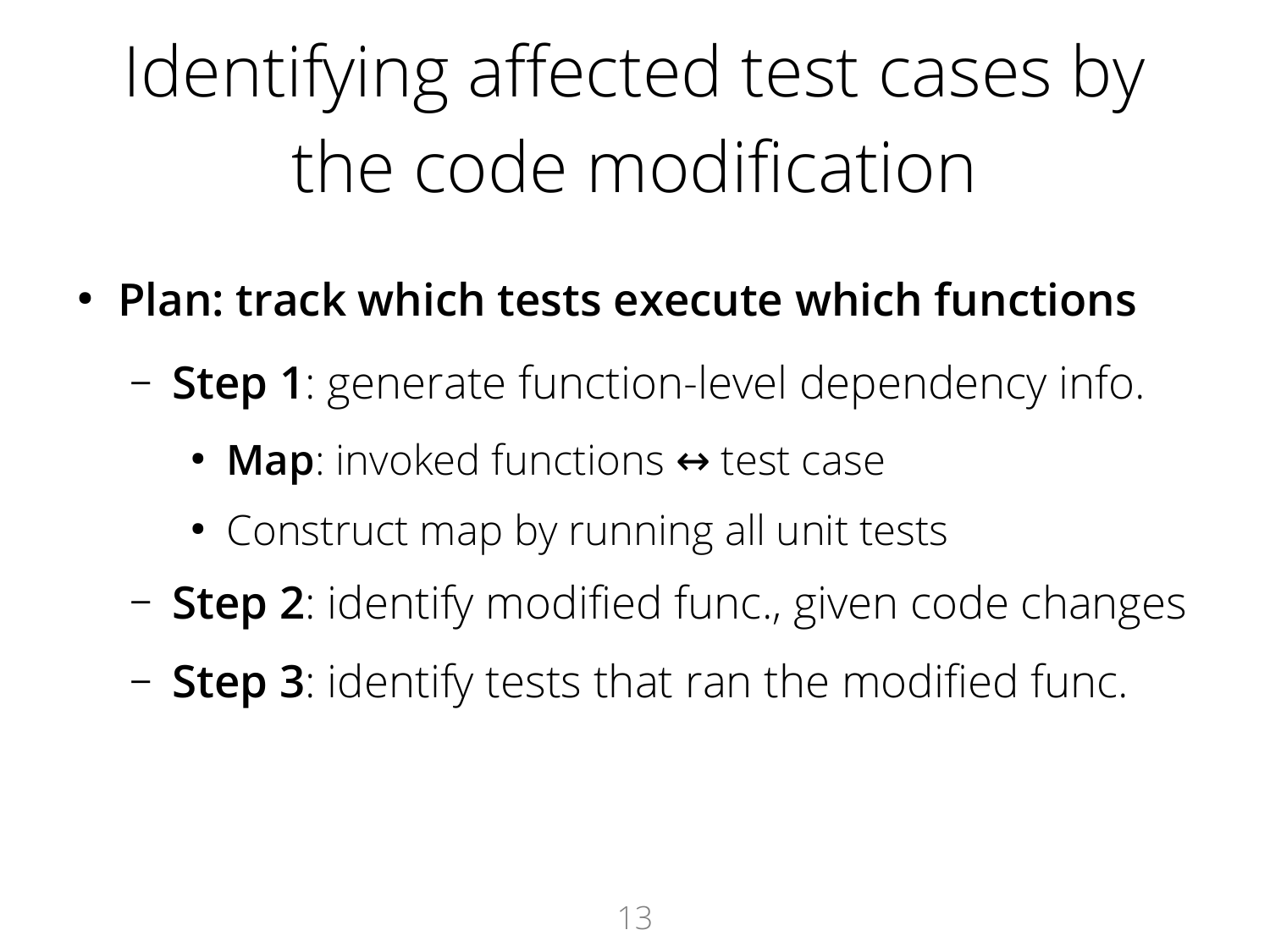# Identifying affected test cases by the code modification

- **Plan: track which tests execute which functions**
	- **Step 1**: generate function-level dependency info.
		- **Map**: invoked functions  $\leftrightarrow$  test case
		- Construct map by running all unit tests
	- **Step 2**: identify modified func., given code changes
	- **Step 3**: identify tests that ran the modified func.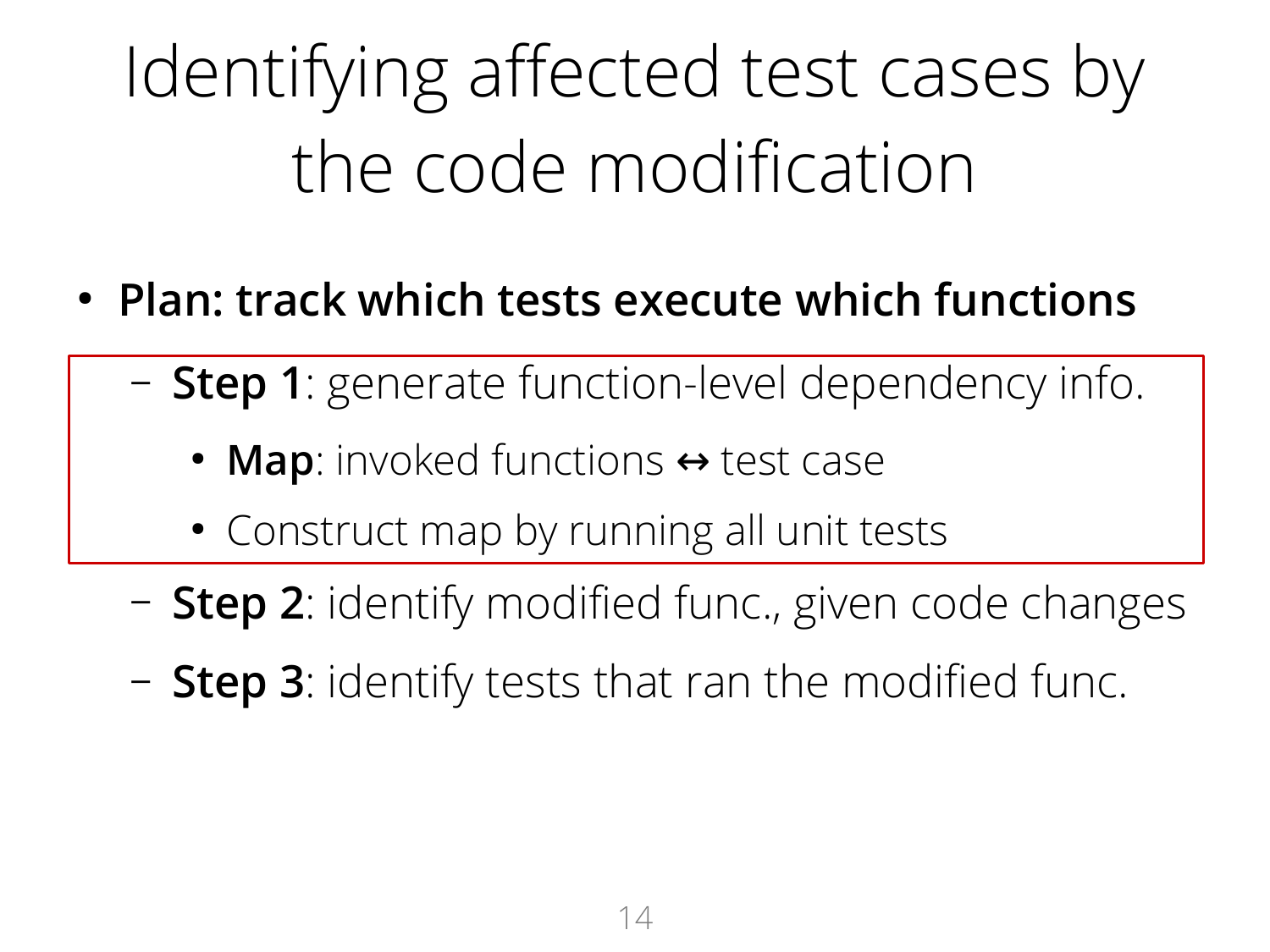# Identifying affected test cases by the code modification

- **Plan: track which tests execute which functions**
	- **Step 1**: generate function-level dependency info.
		- **Map**: invoked functions  $\leftrightarrow$  test case
		- Construct map by running all unit tests
	- **Step 2**: identify modified func., given code changes
	- **Step 3**: identify tests that ran the modified func.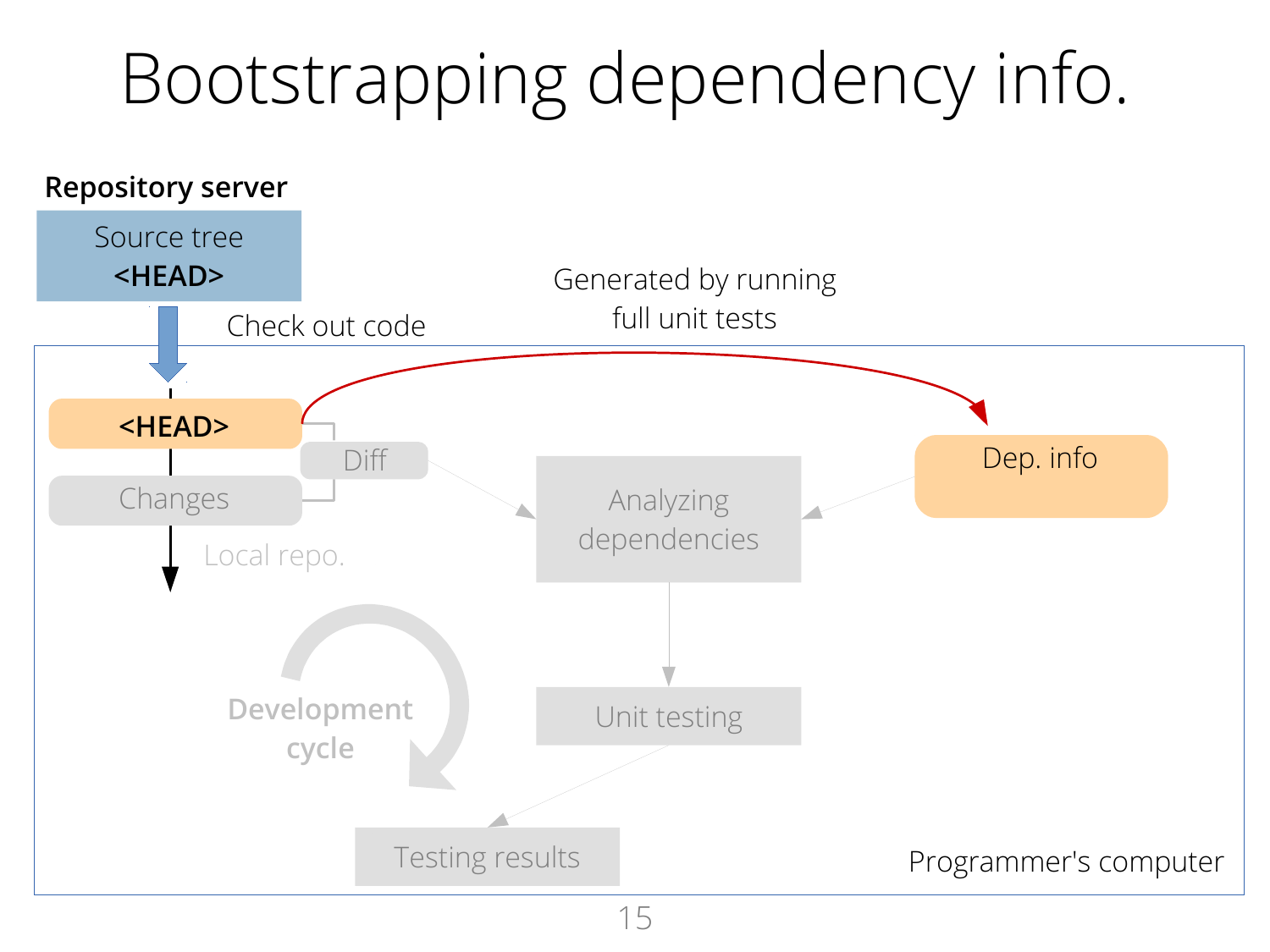### Bootstrapping dependency info.

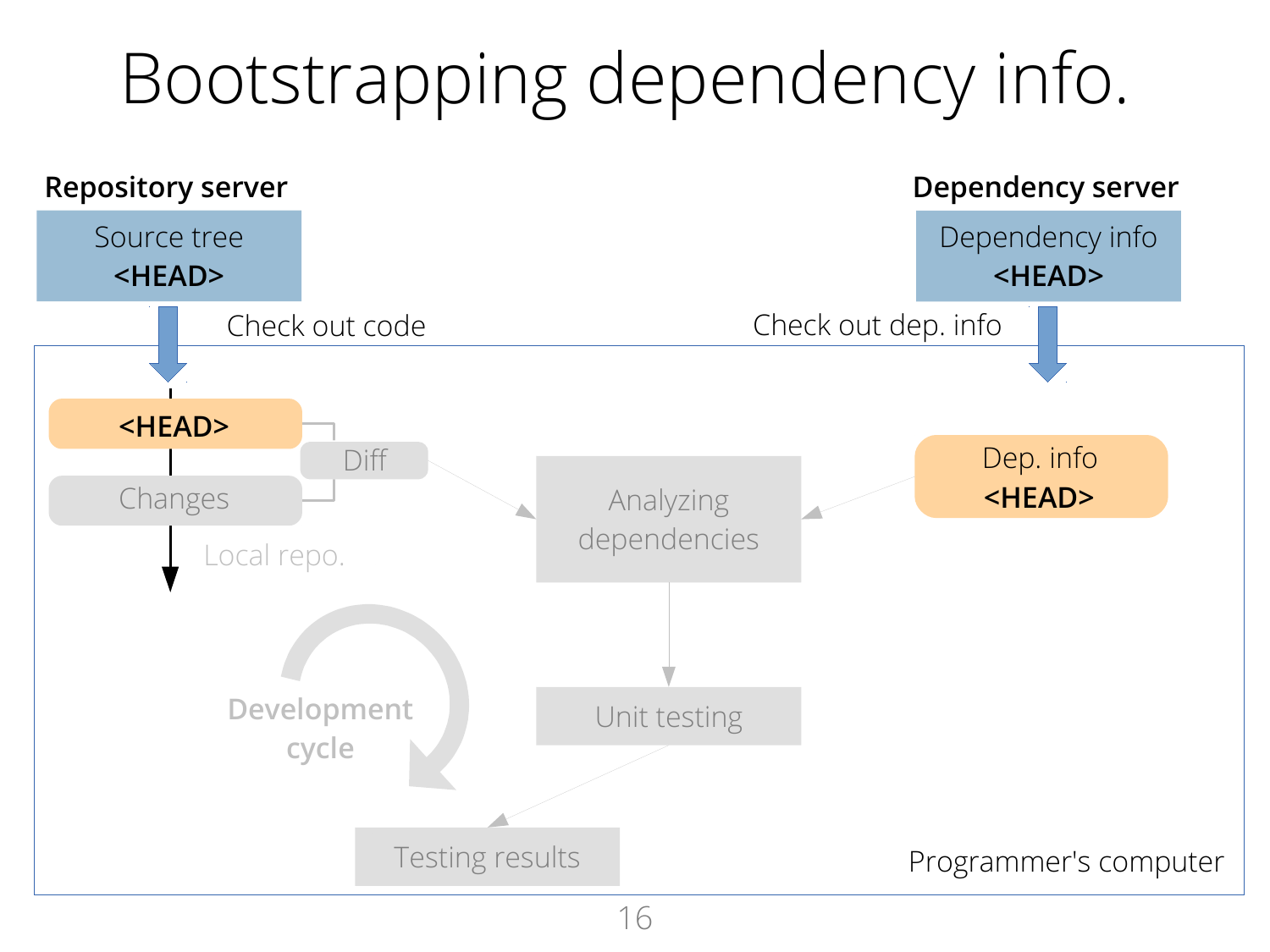### Bootstrapping dependency info.

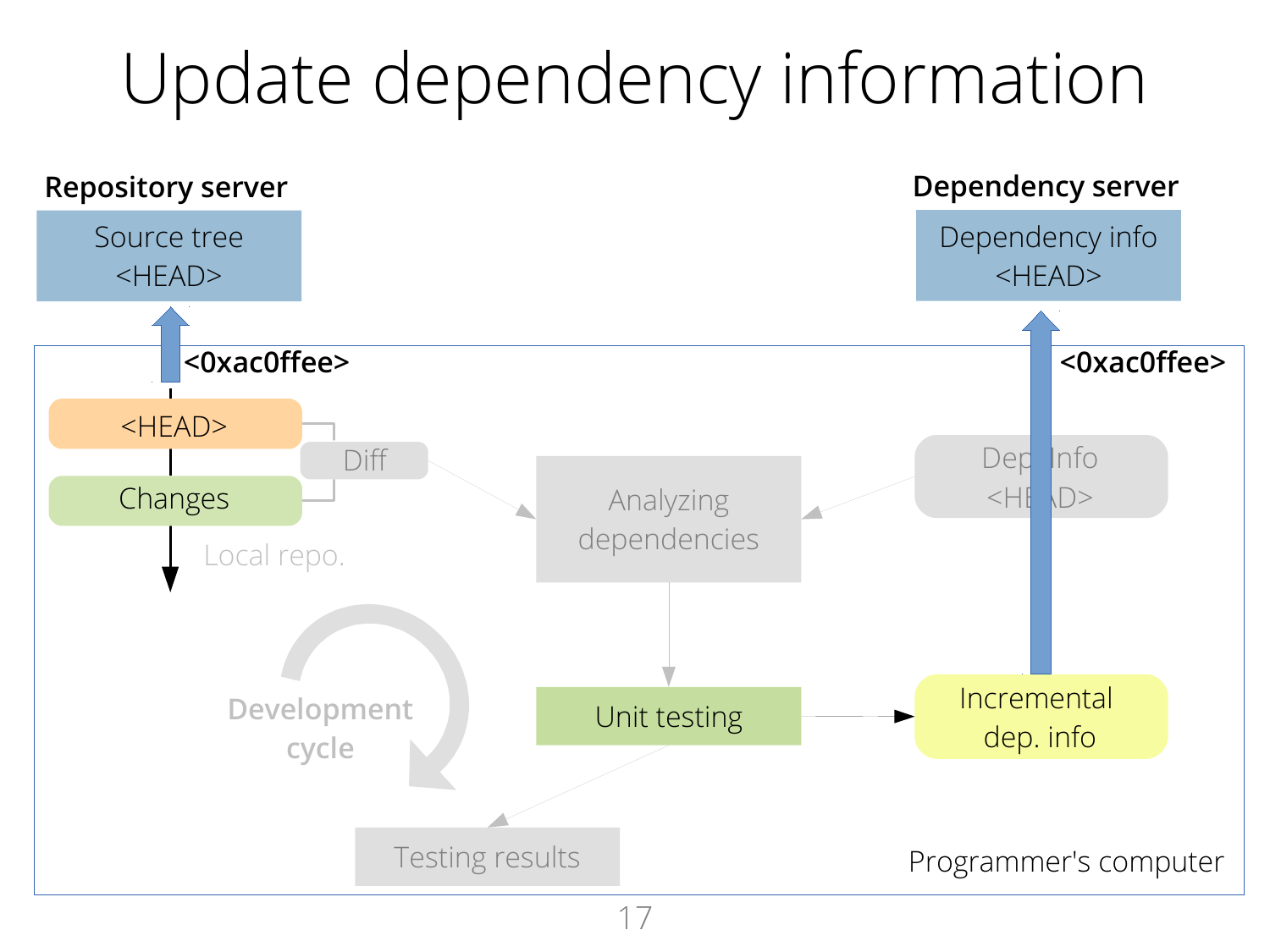### Update dependency information

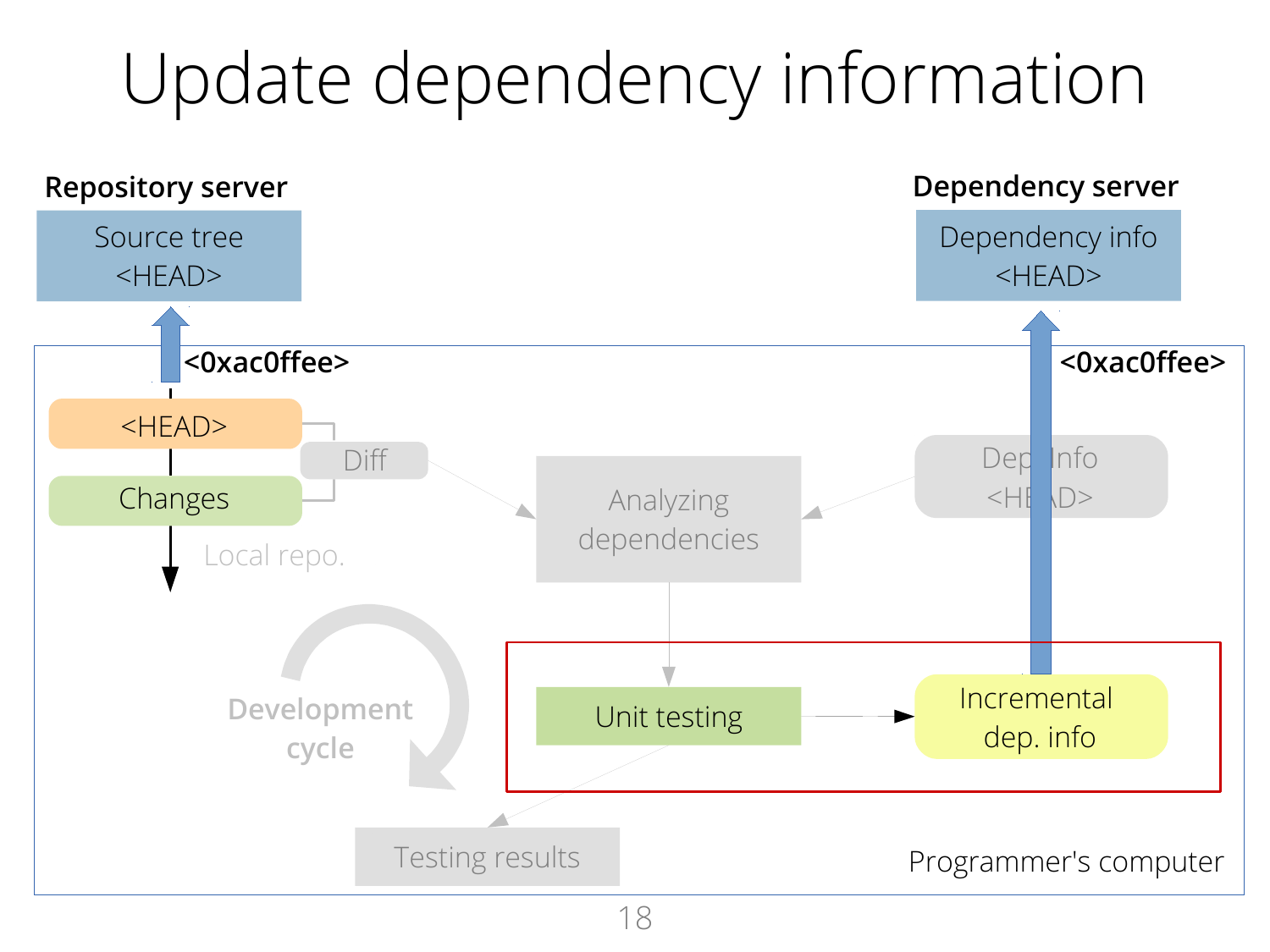### Update dependency information

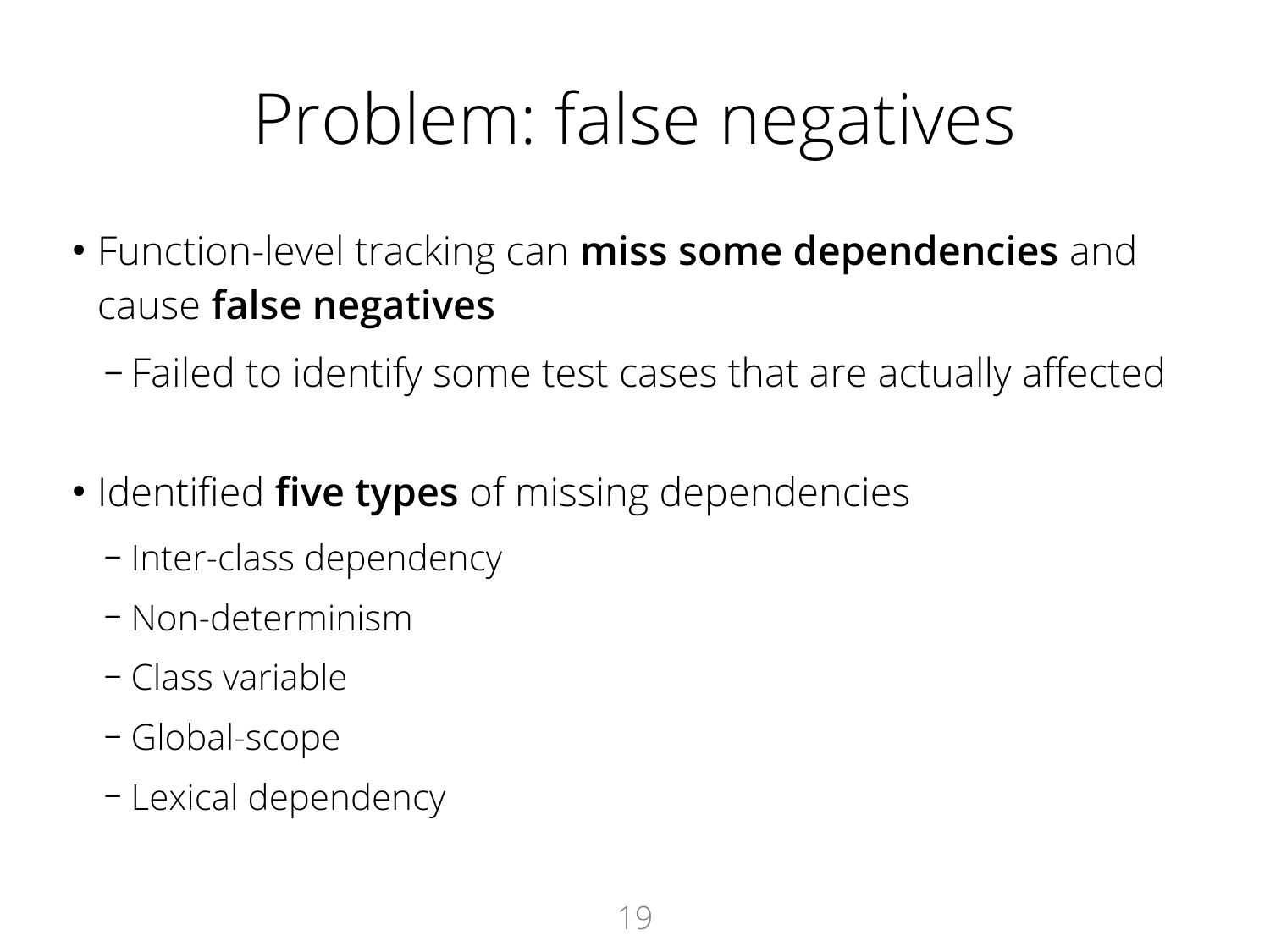### Problem: false negatives

- Function-level tracking can **miss some dependencies** and cause **false negatives**
	- Failed to identify some test cases that are actually affected
- Identified **five types** of missing dependencies
	- Inter-class dependency
	- Non-determinism
	- Class variable
	- Global-scope
	- Lexical dependency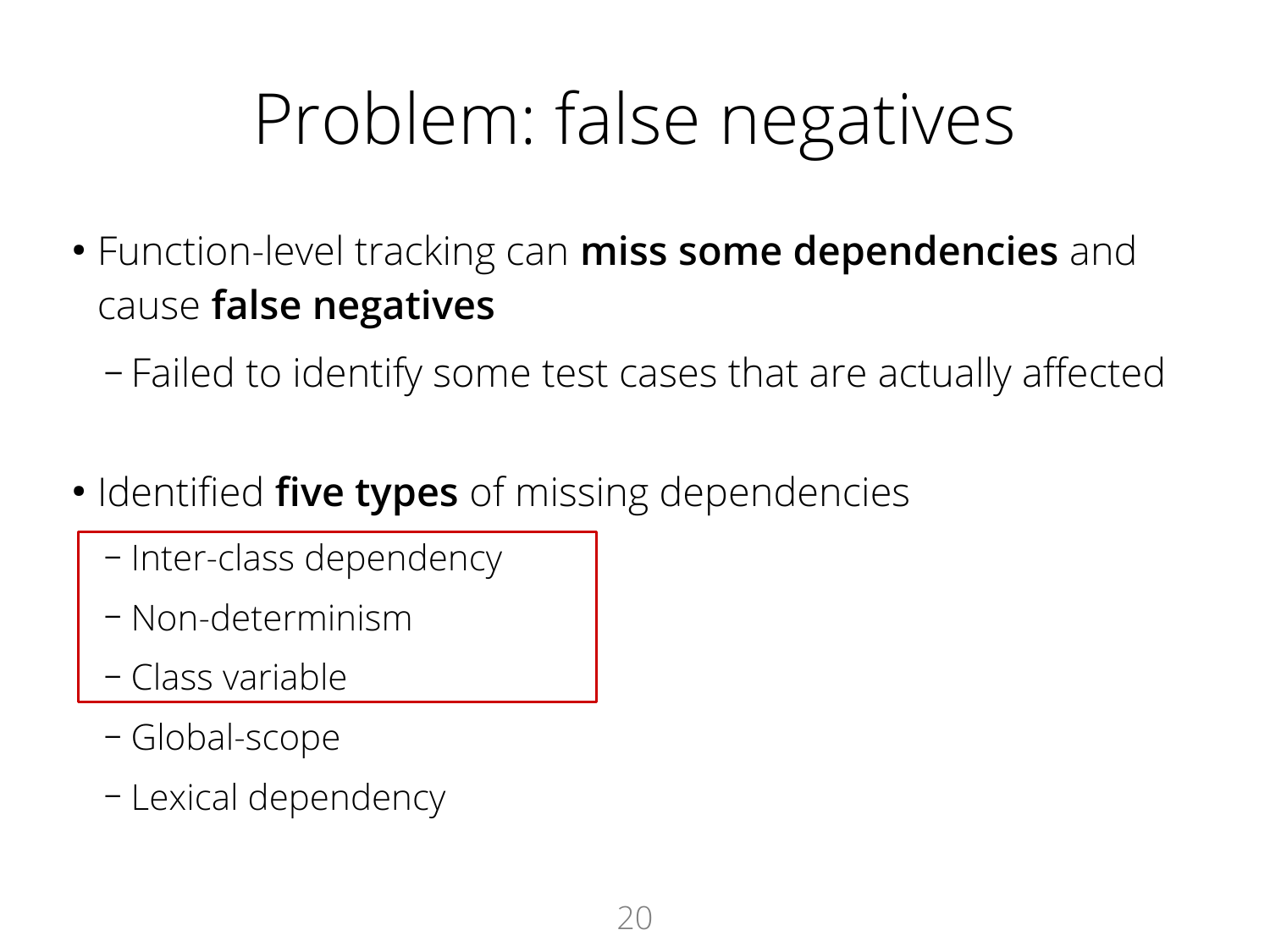### Problem: false negatives

- Function-level tracking can **miss some dependencies** and cause **false negatives**
	- Failed to identify some test cases that are actually affected
- Identified **five types** of missing dependencies
	- Inter-class dependency
	- Non-determinism
	- Class variable
	- Global-scope
	- Lexical dependency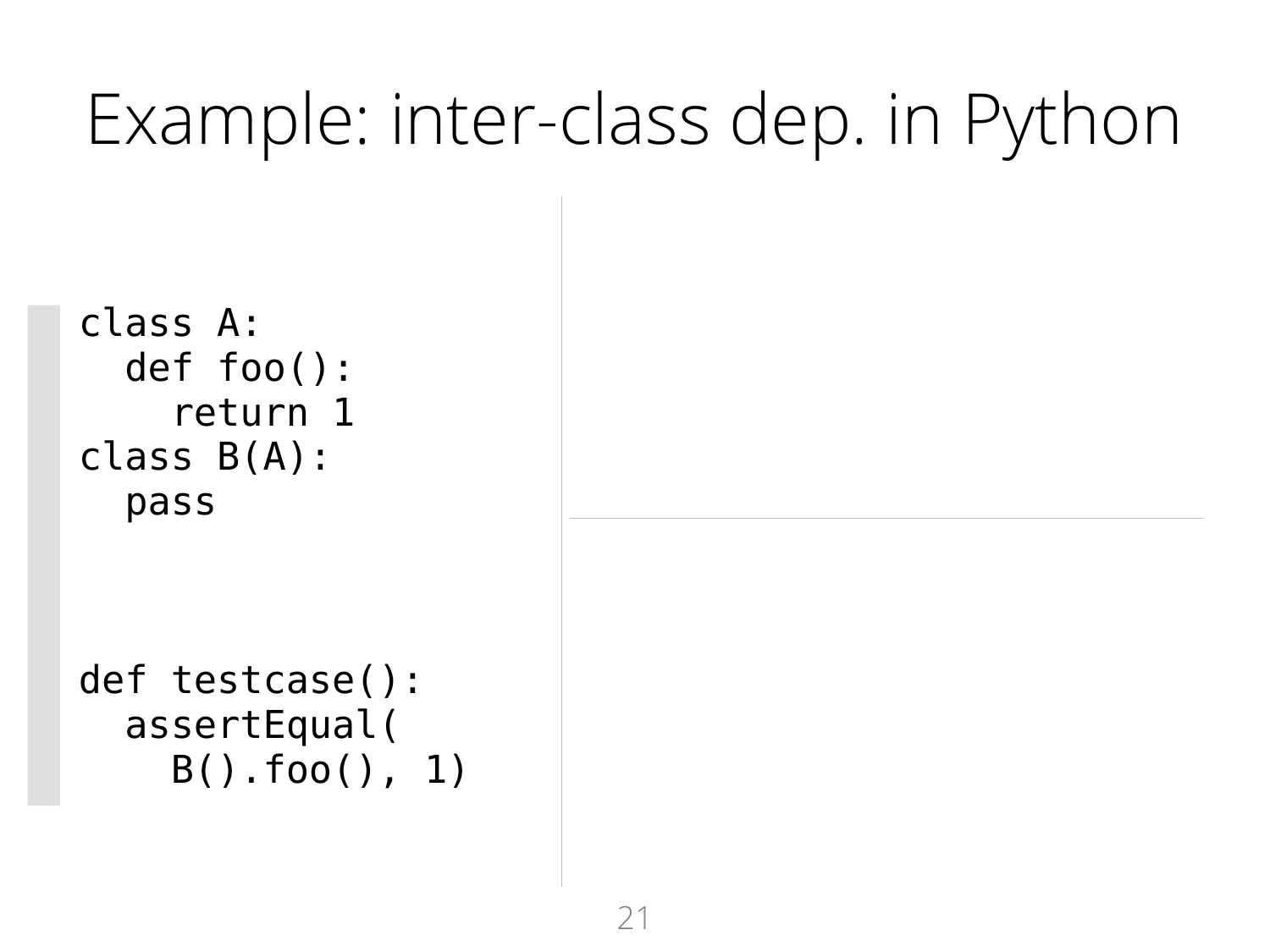### Example: inter-class dep. in Python

```
 class A:
   def foo():
      return 1
 class B(A):
   pass
```

```
 def testcase():
   assertEqual(
     B().foo(), 1)
```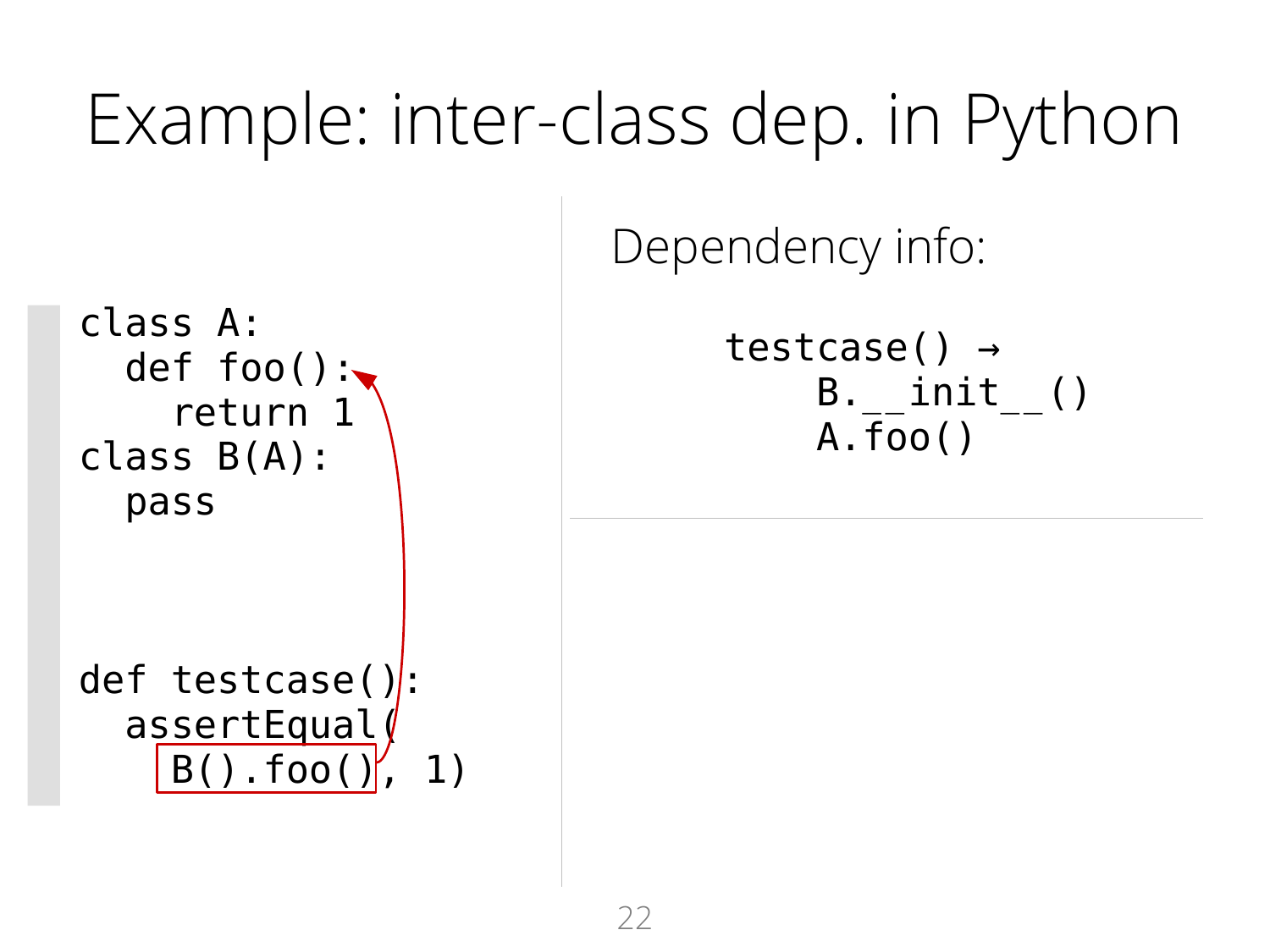### Example: inter-class dep. in Python

Dependency info:

testcase() →  $B.$  init () A.foo()

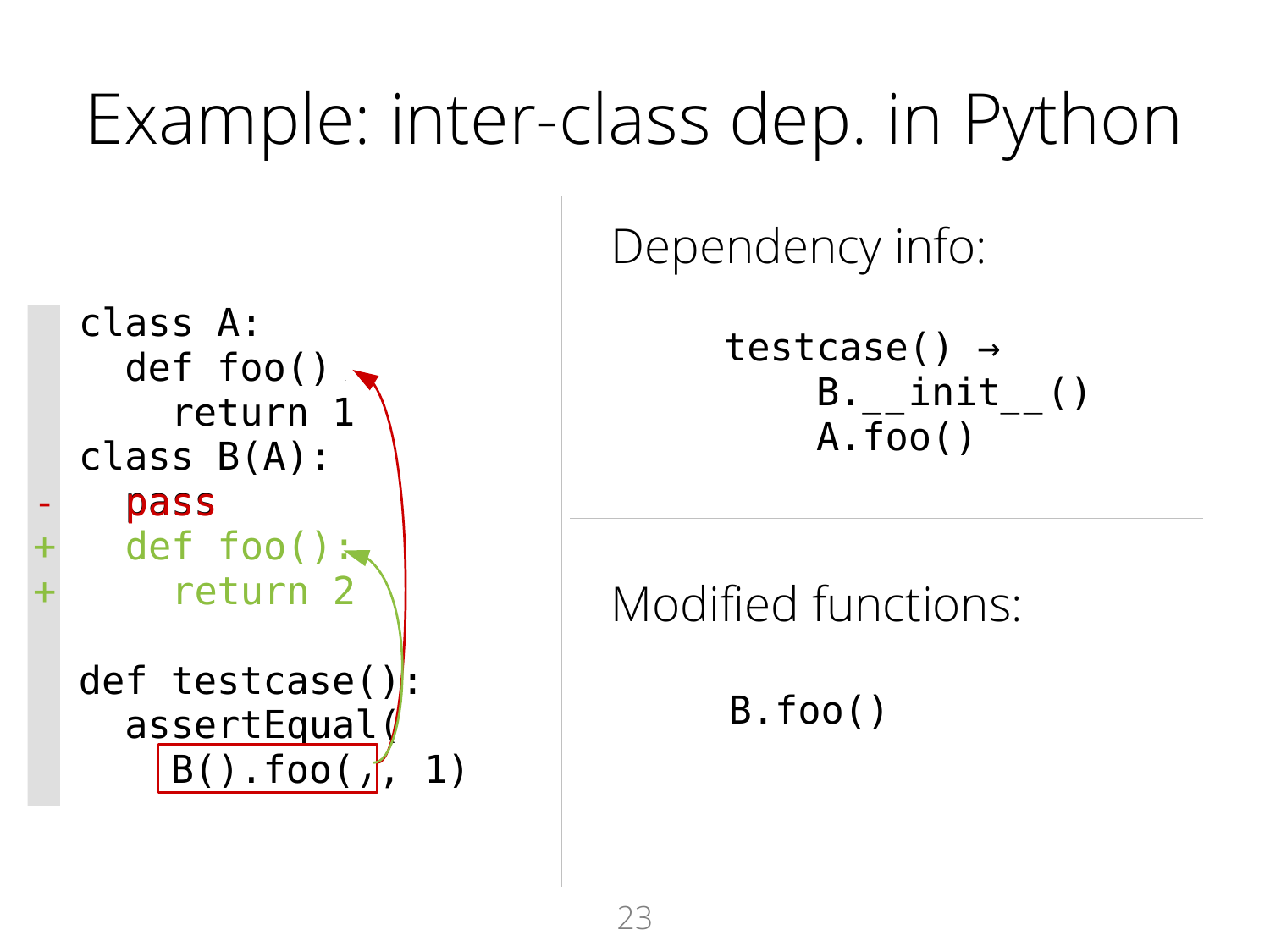### Example: inter-class dep. in Python

Dependency info:

testcase() →  $B.$  init () A.foo()

Modified functions:

B.foo()

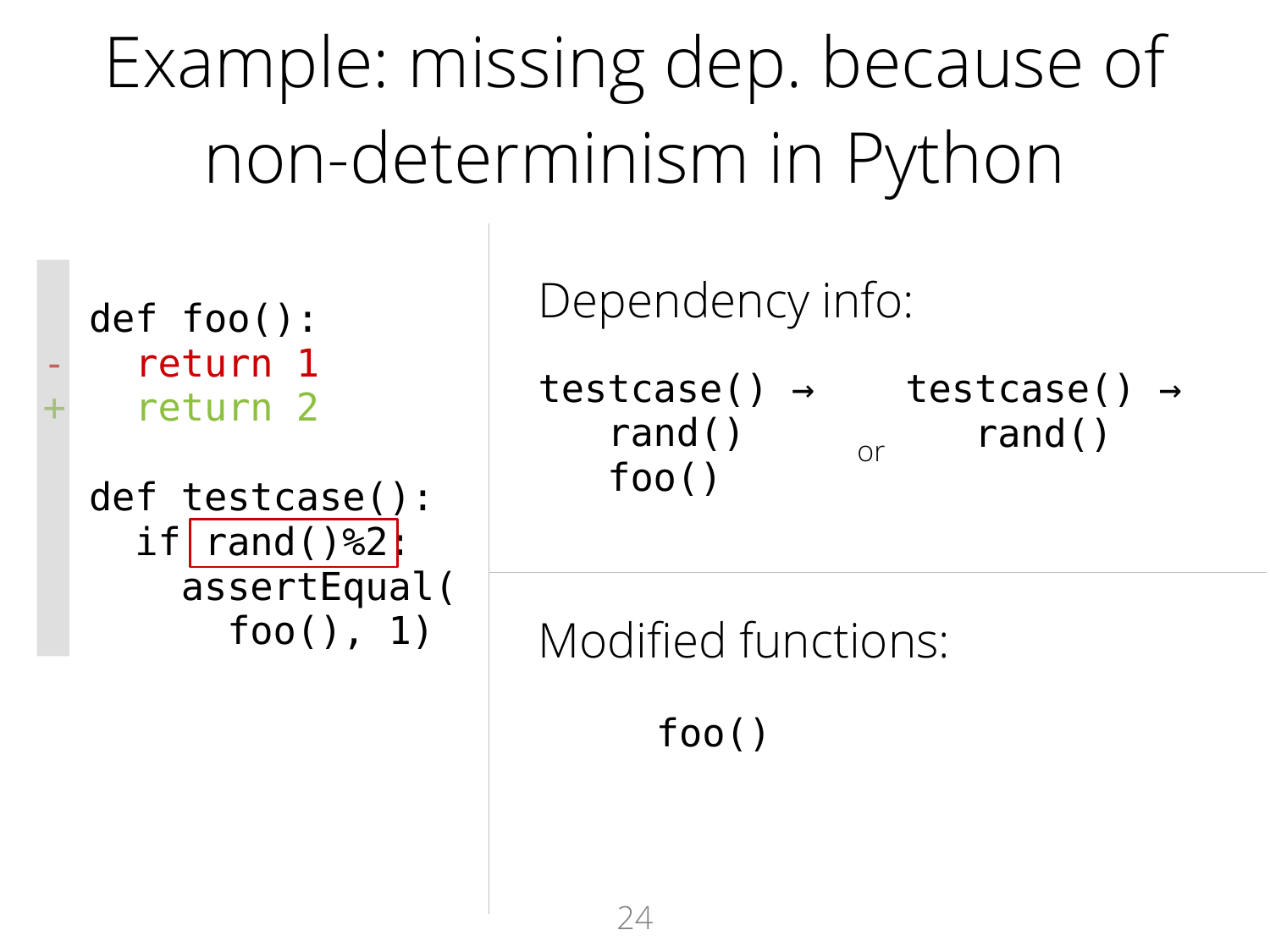Example: missing dep. because of non-determinism in Python

 def foo(): return 1 return 2

```
 def testcase():
  if | rand()%2| assertEqual(
       foo(), 1)
```
Dependency info:

testcase() → testcase() → rand() foo()  $or$  rand()

Modified functions:

foo()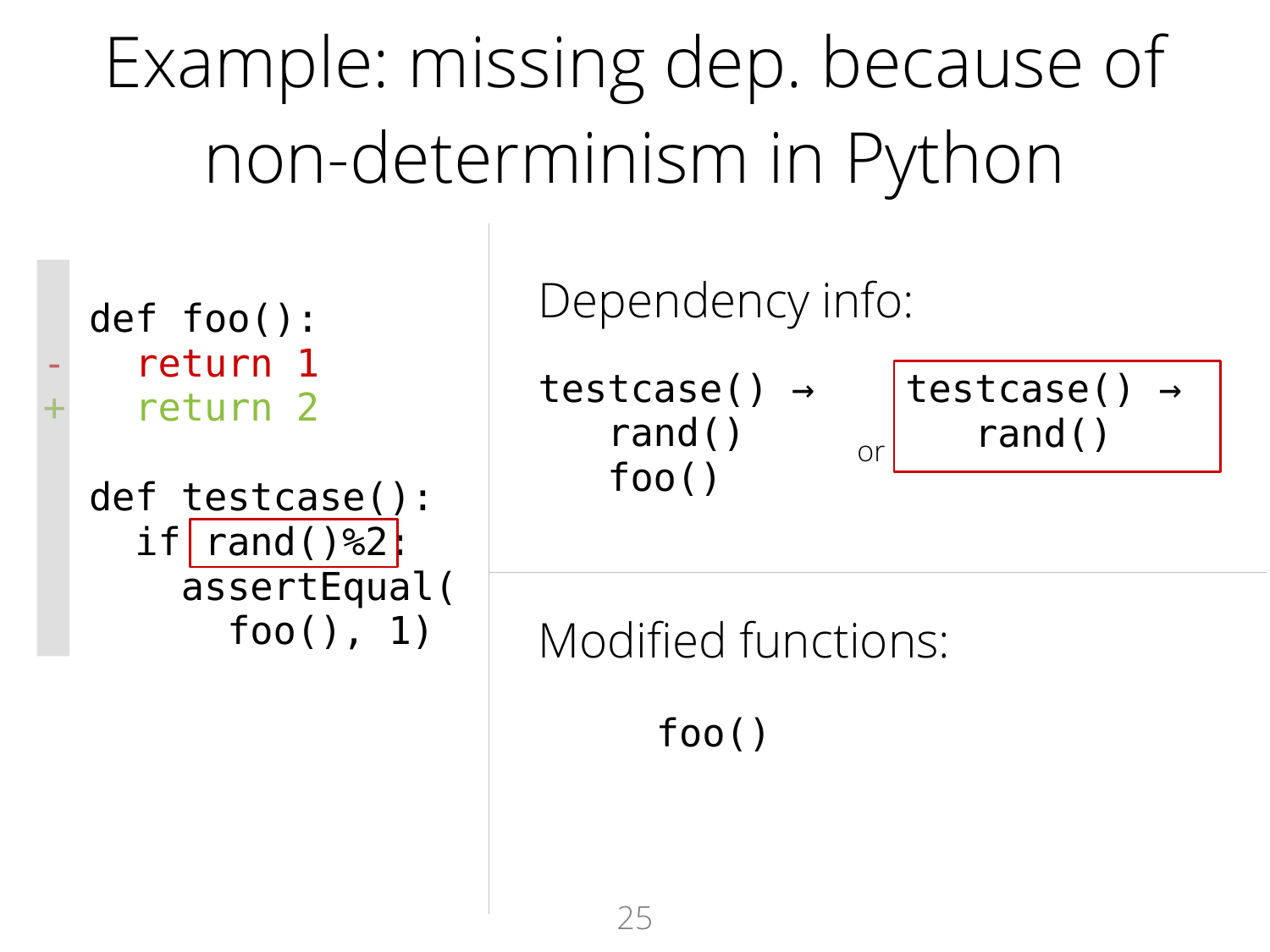Example: missing dep. because of non-determinism in Python

 def foo(): return 1 return 2

```
 def testcase():
  if | rand()%2
     assertEqual(
       foo(), 1)
```
Dependency info:

testcase() → rand() foo()

```
testcase() →
\sigma rand()
```
Modified functions:

foo()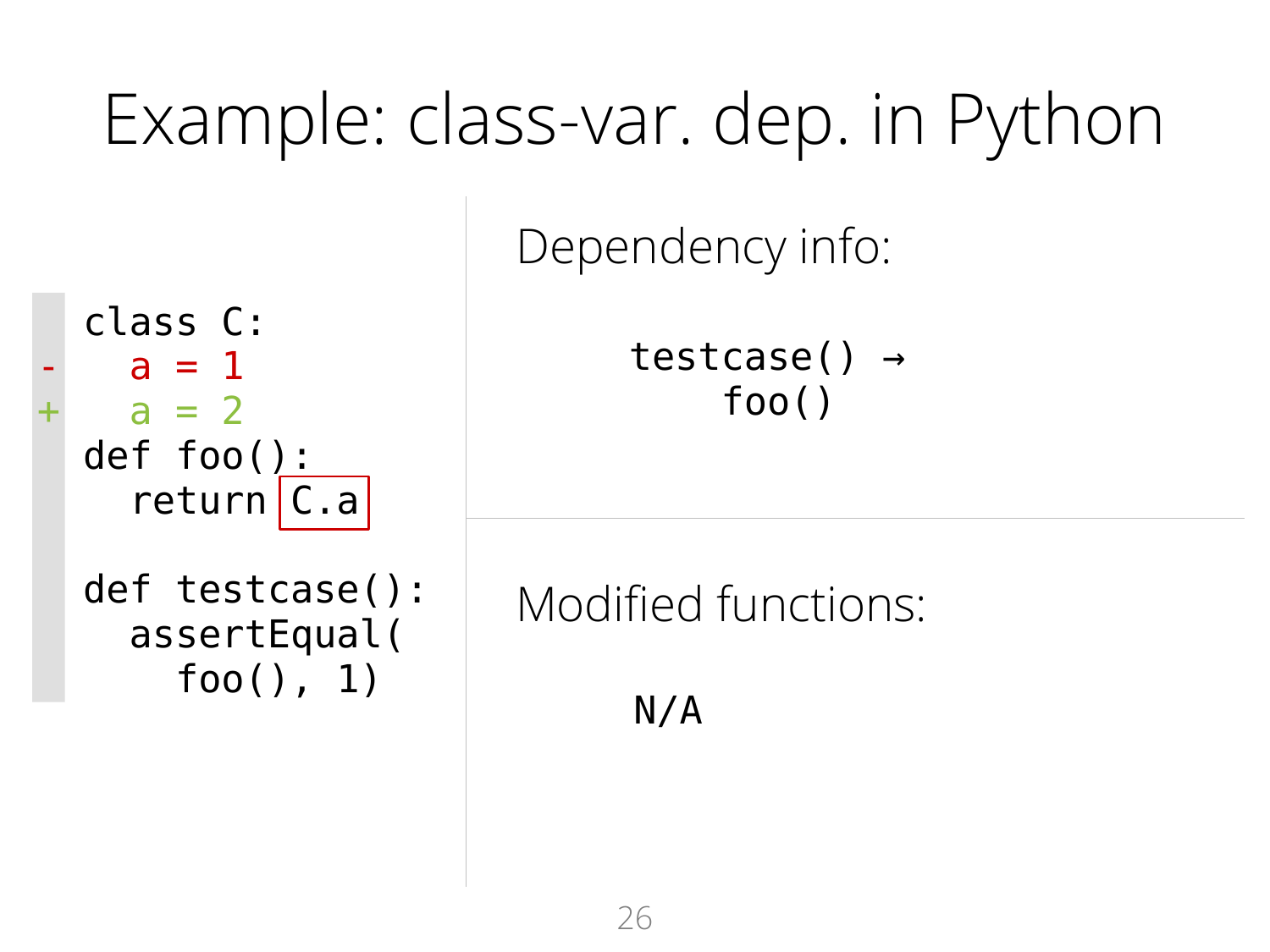### Example: class-var. dep. in Python

Dependency info:

testcase() → foo()

Modified functions:

N/A

 class C:  $a = 1$  $a = 2$  def foo():  $return|C.a$ 

 def testcase(): assertEqual( foo(), 1)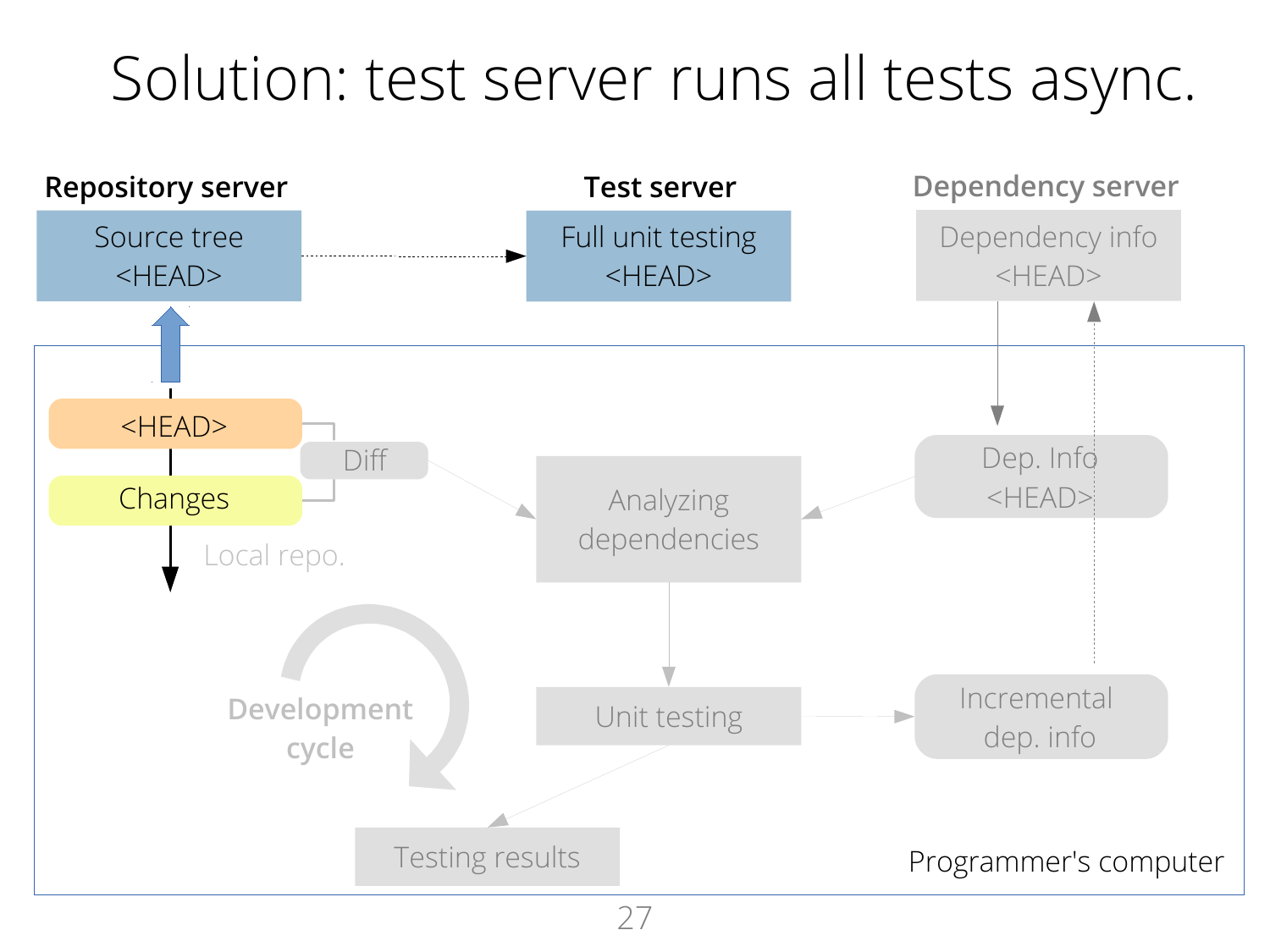#### Solution: test server runs all tests async.

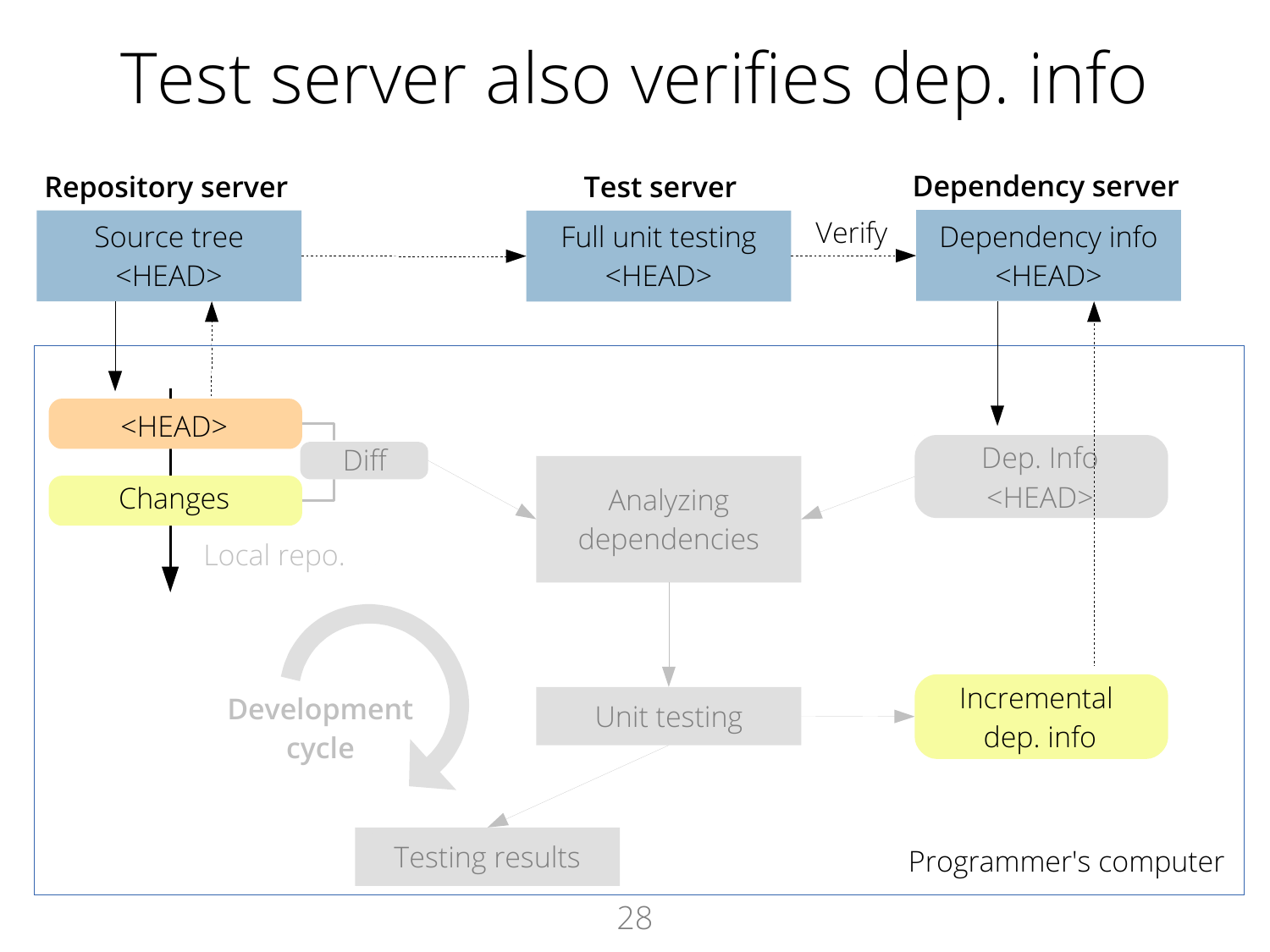#### Test server also verifies dep. info

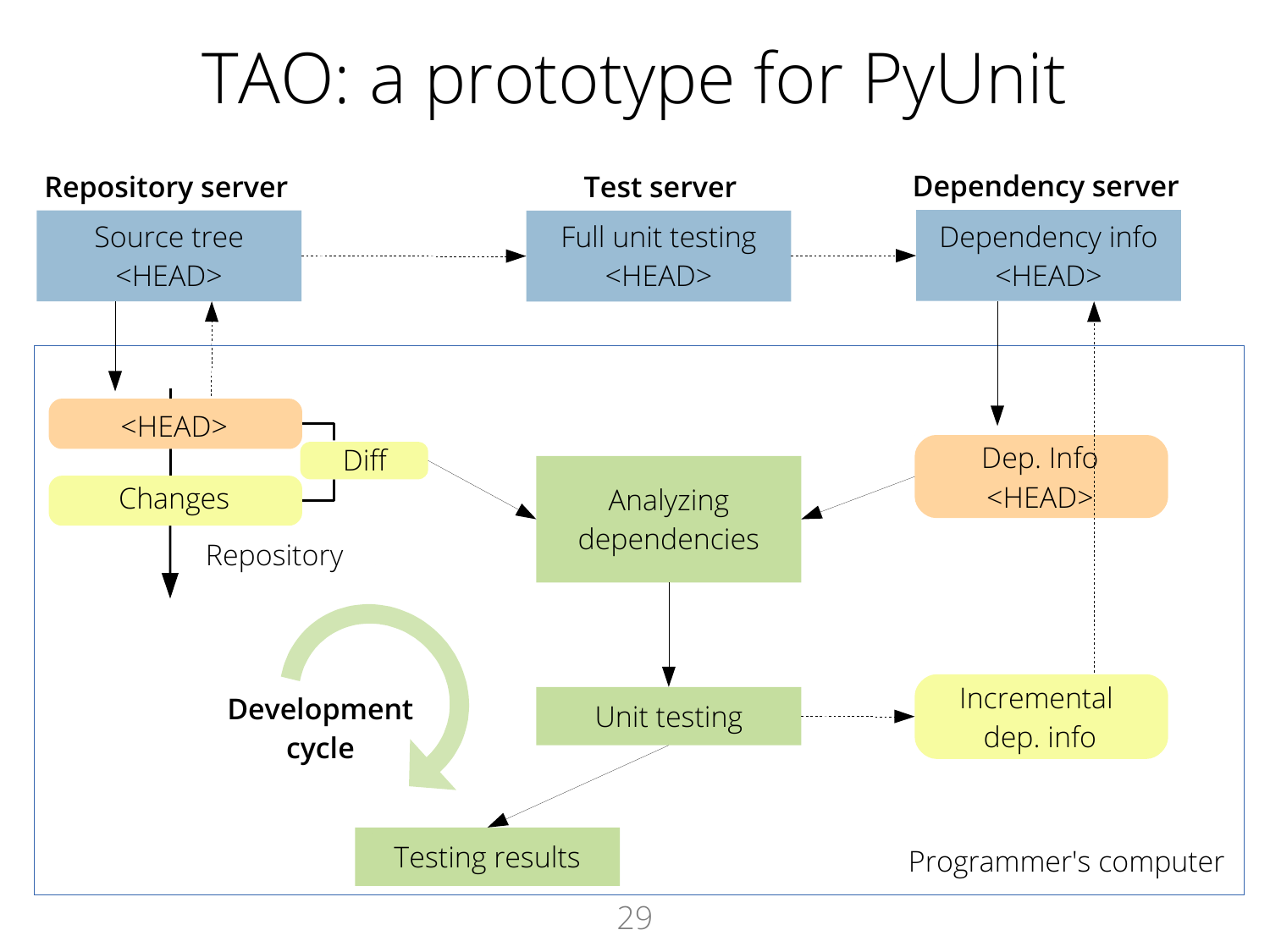### TAO: a prototype for PyUnit

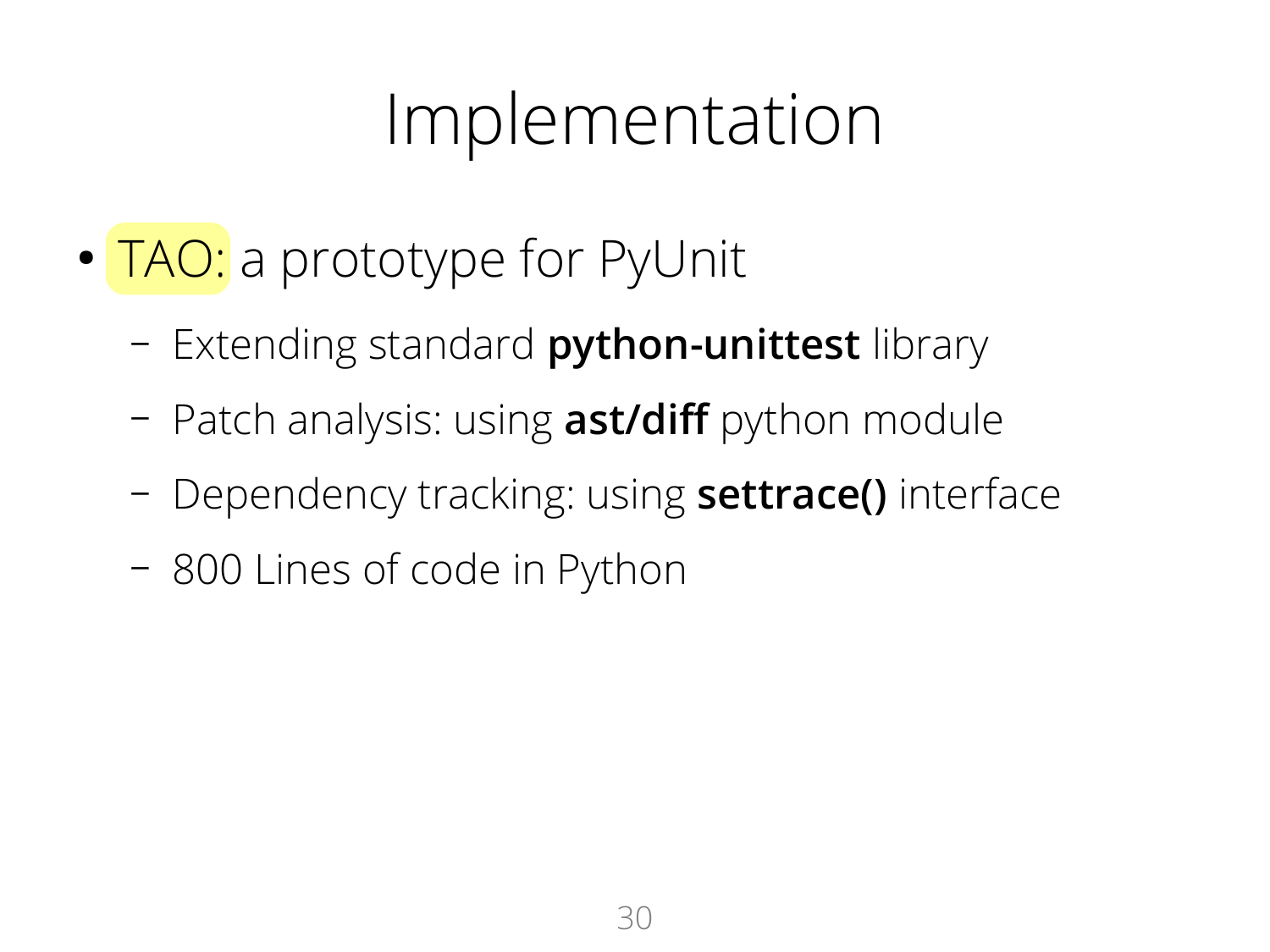#### Implementation

- TAO: a prototype for PyUnit
	- Extending standard **python-unittest** library
	- Patch analysis: using **ast/diff** python module
	- Dependency tracking: using **settrace()** interface
	- 800 Lines of code in Python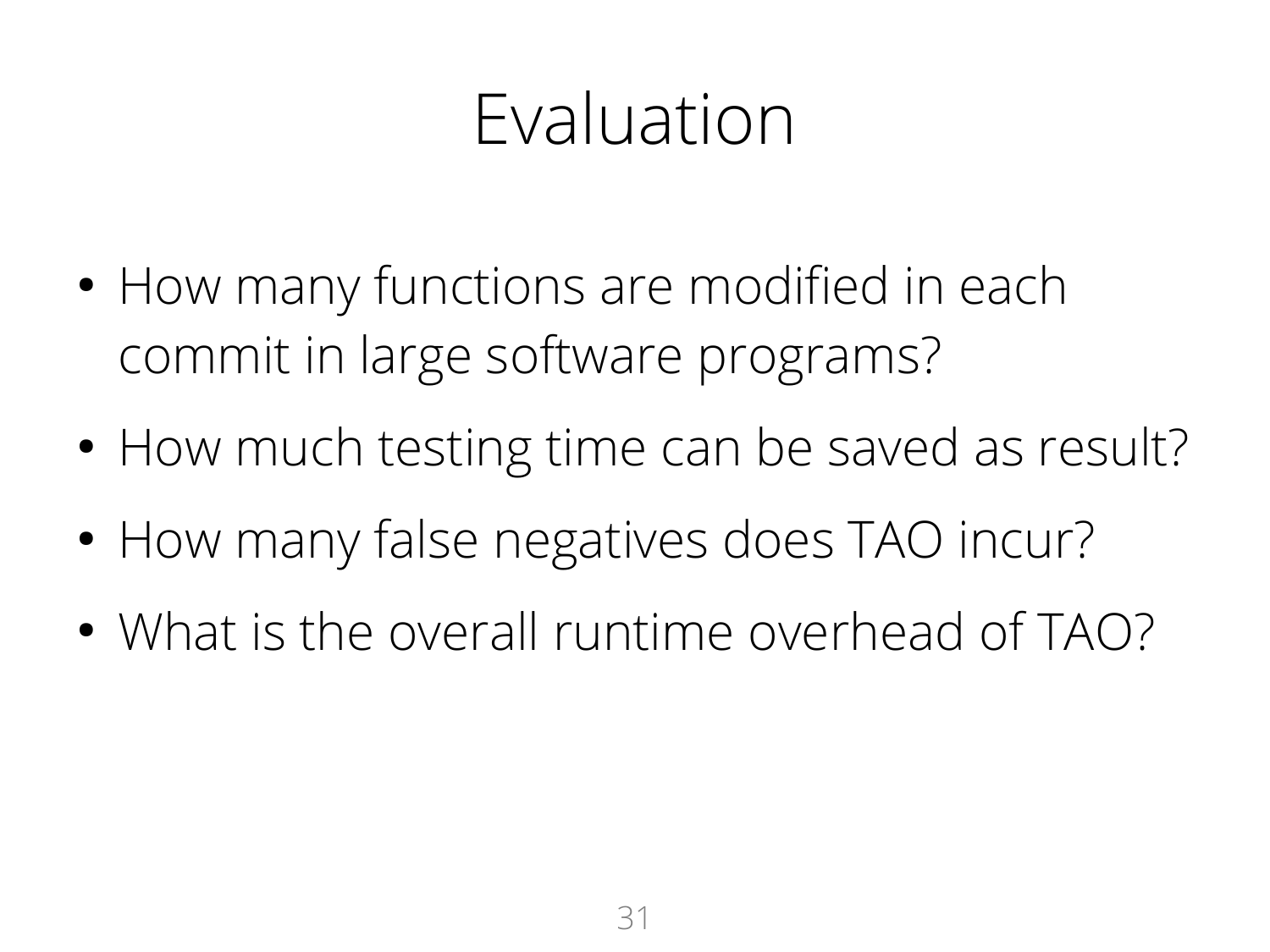### Evaluation

- How many functions are modified in each commit in large software programs?
- How much testing time can be saved as result?
- How many false negatives does TAO incur?
- What is the overall runtime overhead of TAO?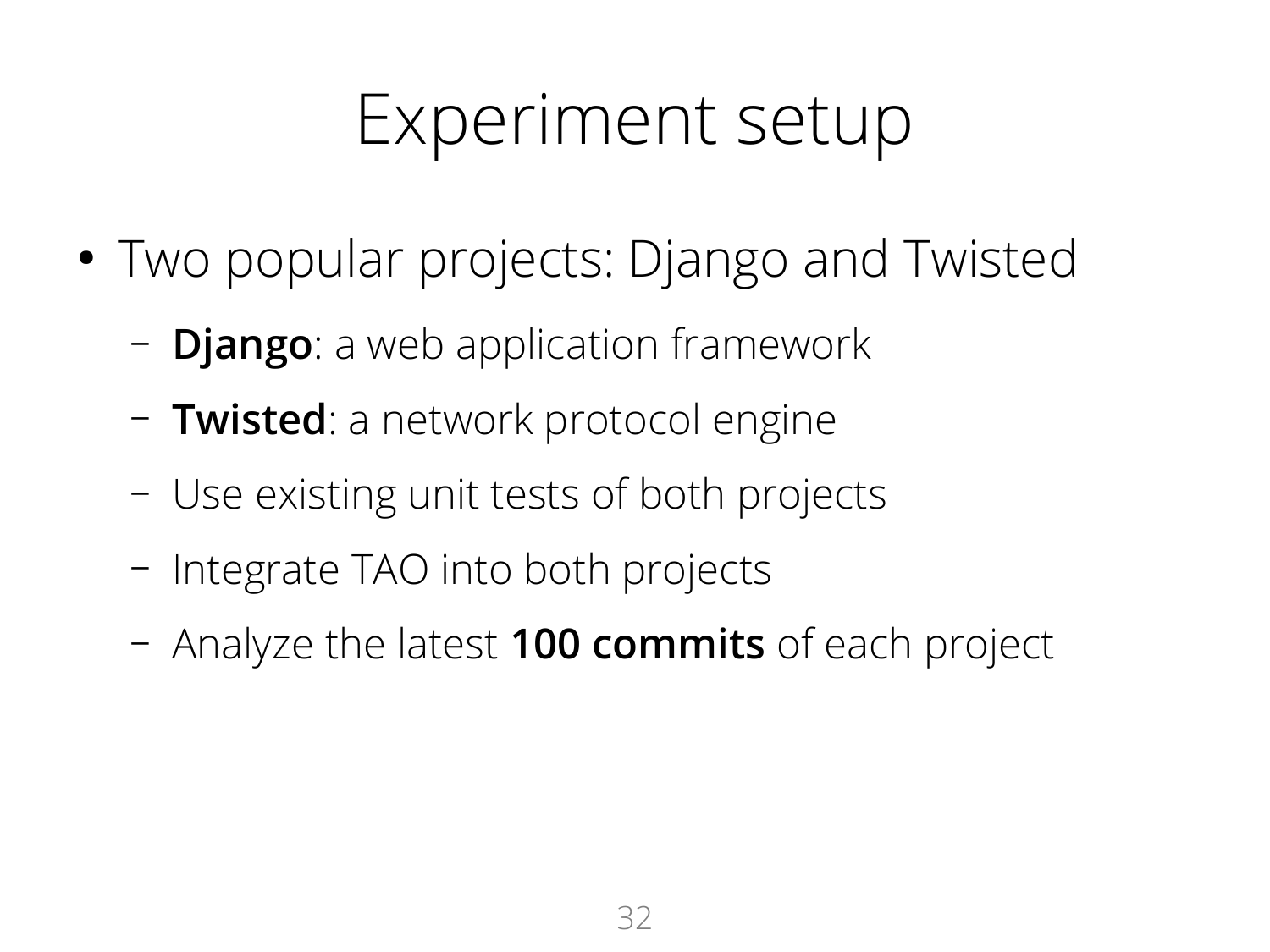#### Experiment setup

- Two popular projects: Django and Twisted
	- **Django**: a web application framework
	- **Twisted**: a network protocol engine
	- Use existing unit tests of both projects
	- Integrate TAO into both projects
	- Analyze the latest **100 commits** of each project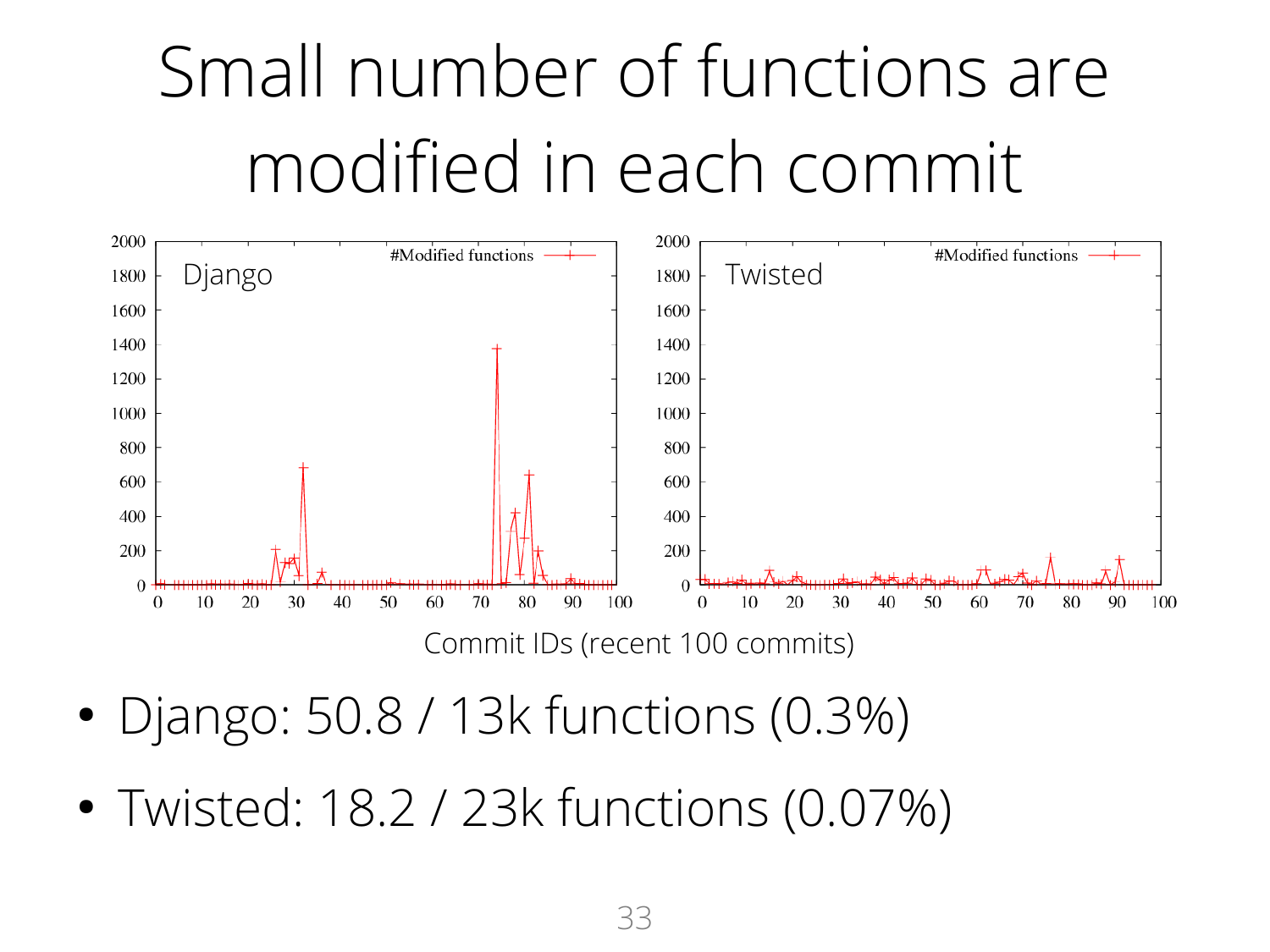

- Django: 50.8 / 13k functions (0.3%)
- Twisted: 18.2 / 23k functions (0.07%)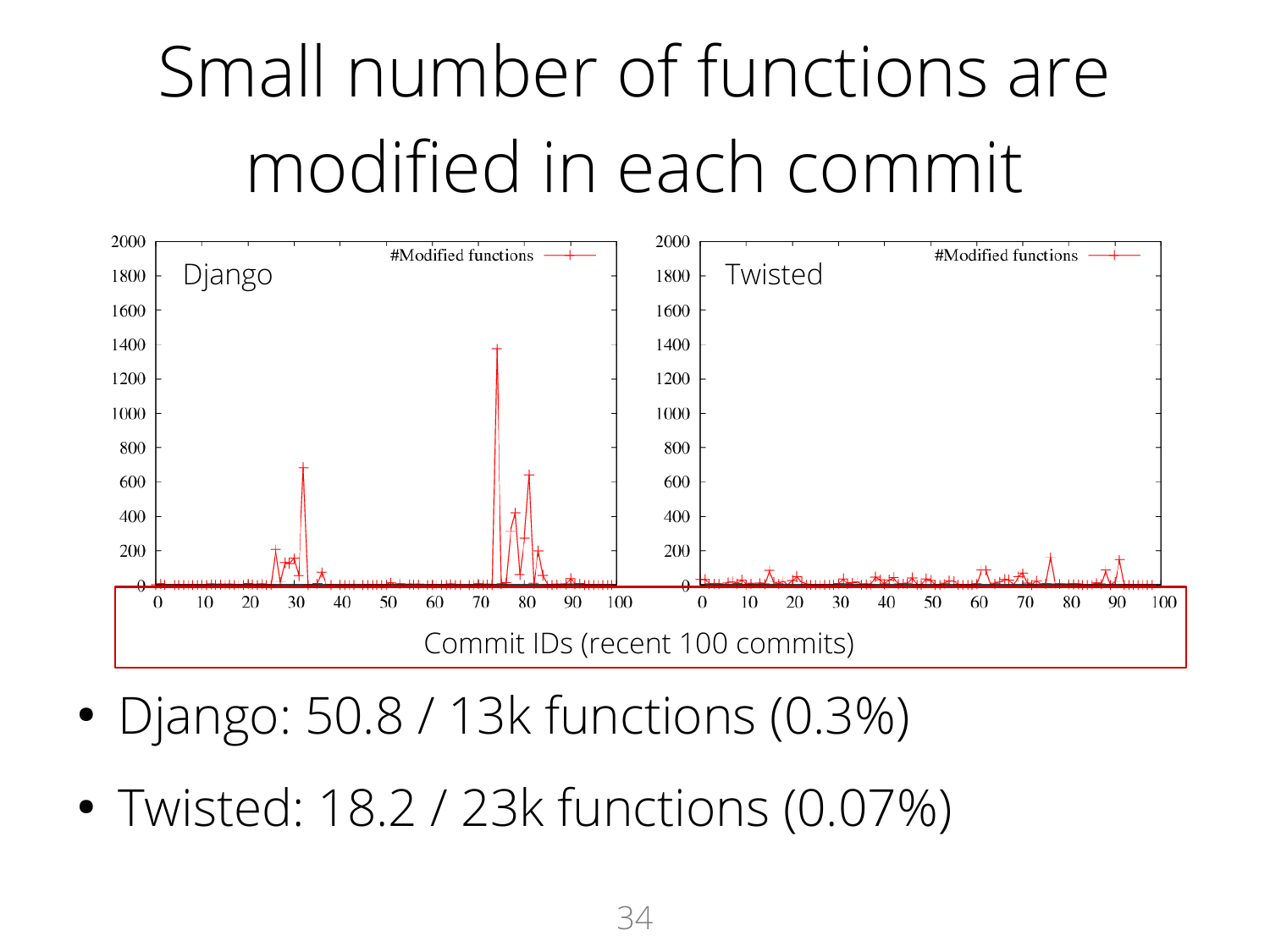

- Django: 50.8 / 13k functions (0.3%)
- Twisted: 18.2 / 23k functions (0.07%)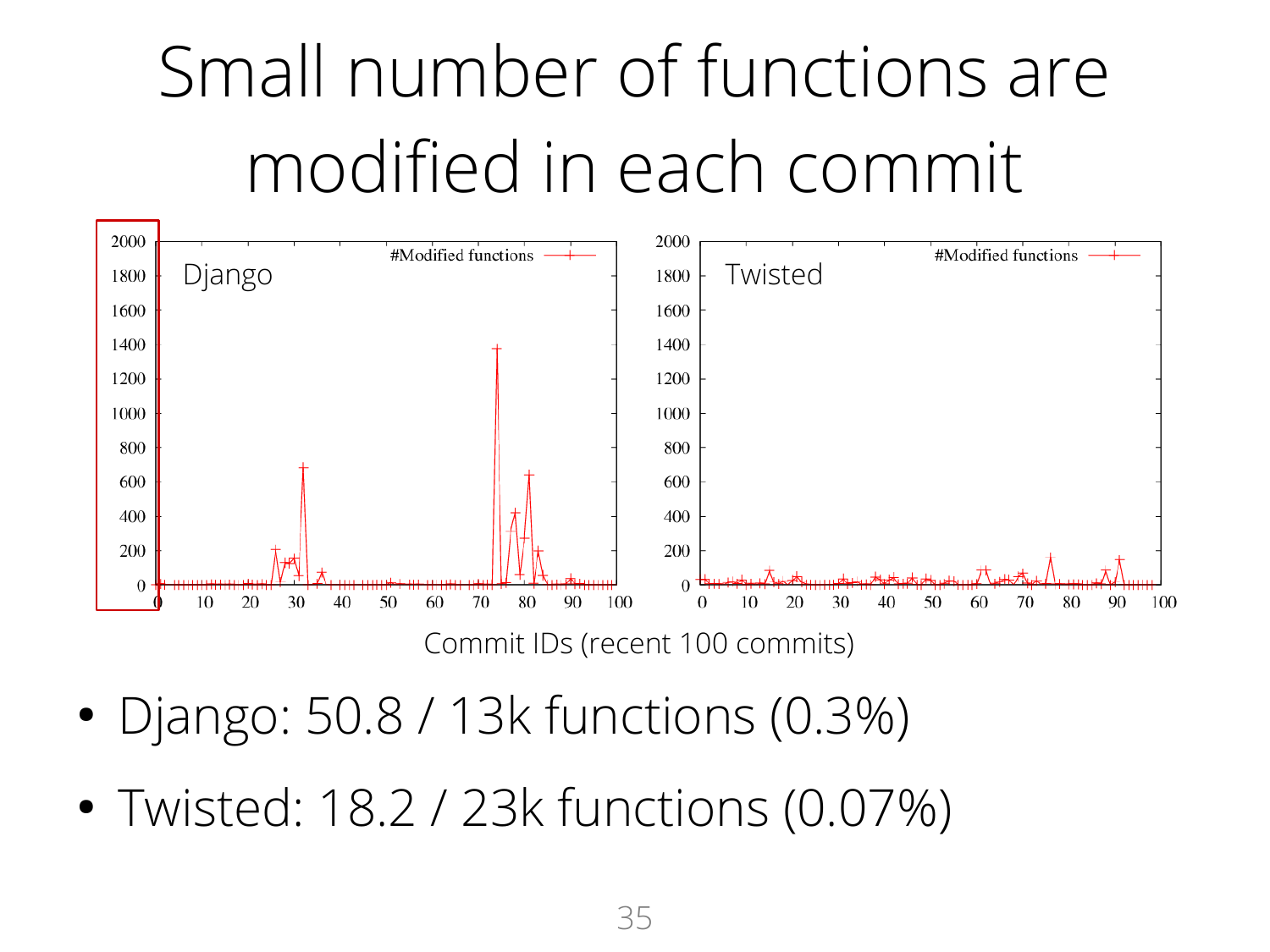

Commit IDs (recent 100 commits)

- Django: 50.8 / 13k functions (0.3%)
- Twisted: 18.2 / 23k functions (0.07%)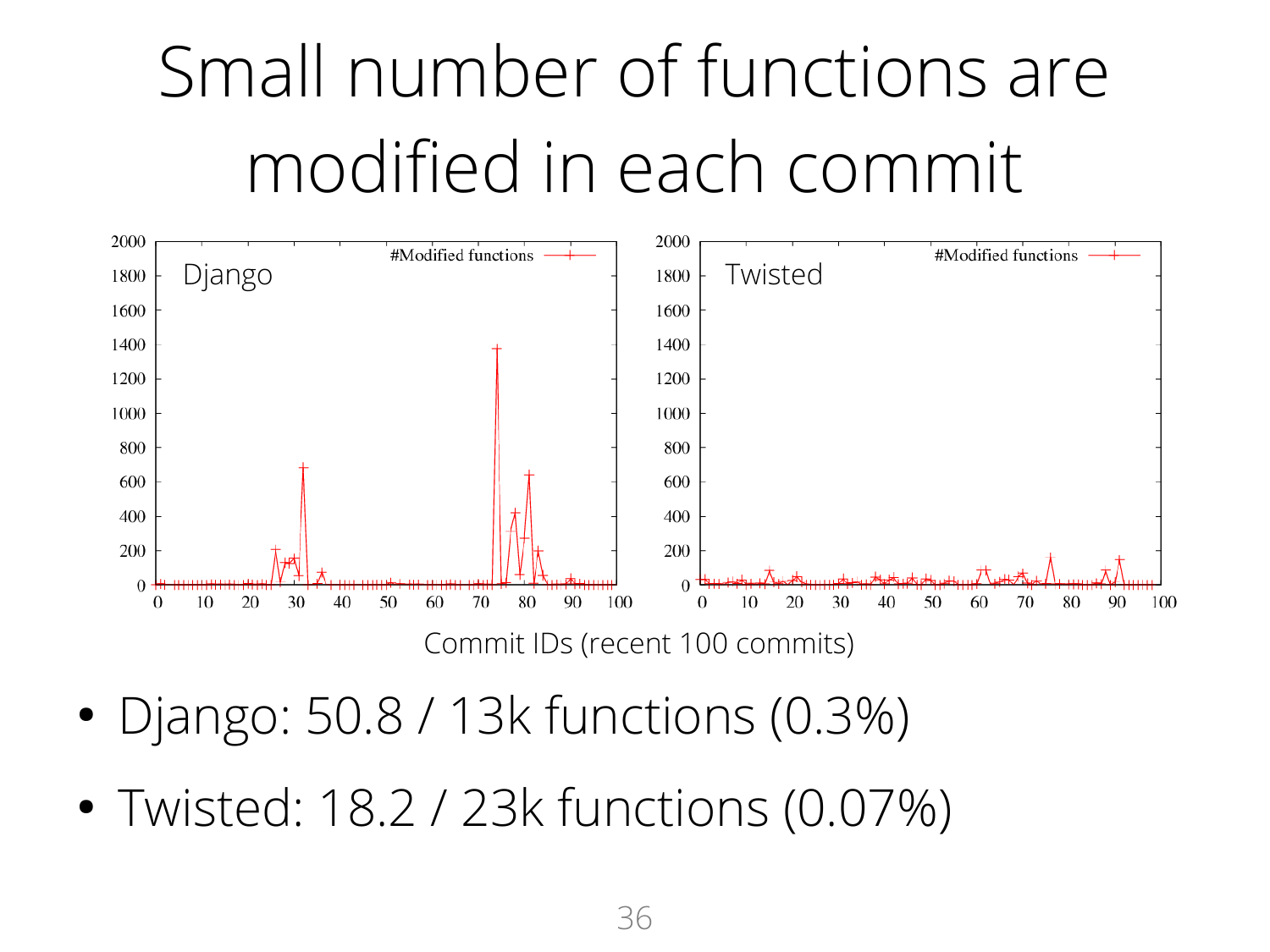

- Django: 50.8 / 13k functions (0.3%)
- Twisted: 18.2 / 23k functions (0.07%)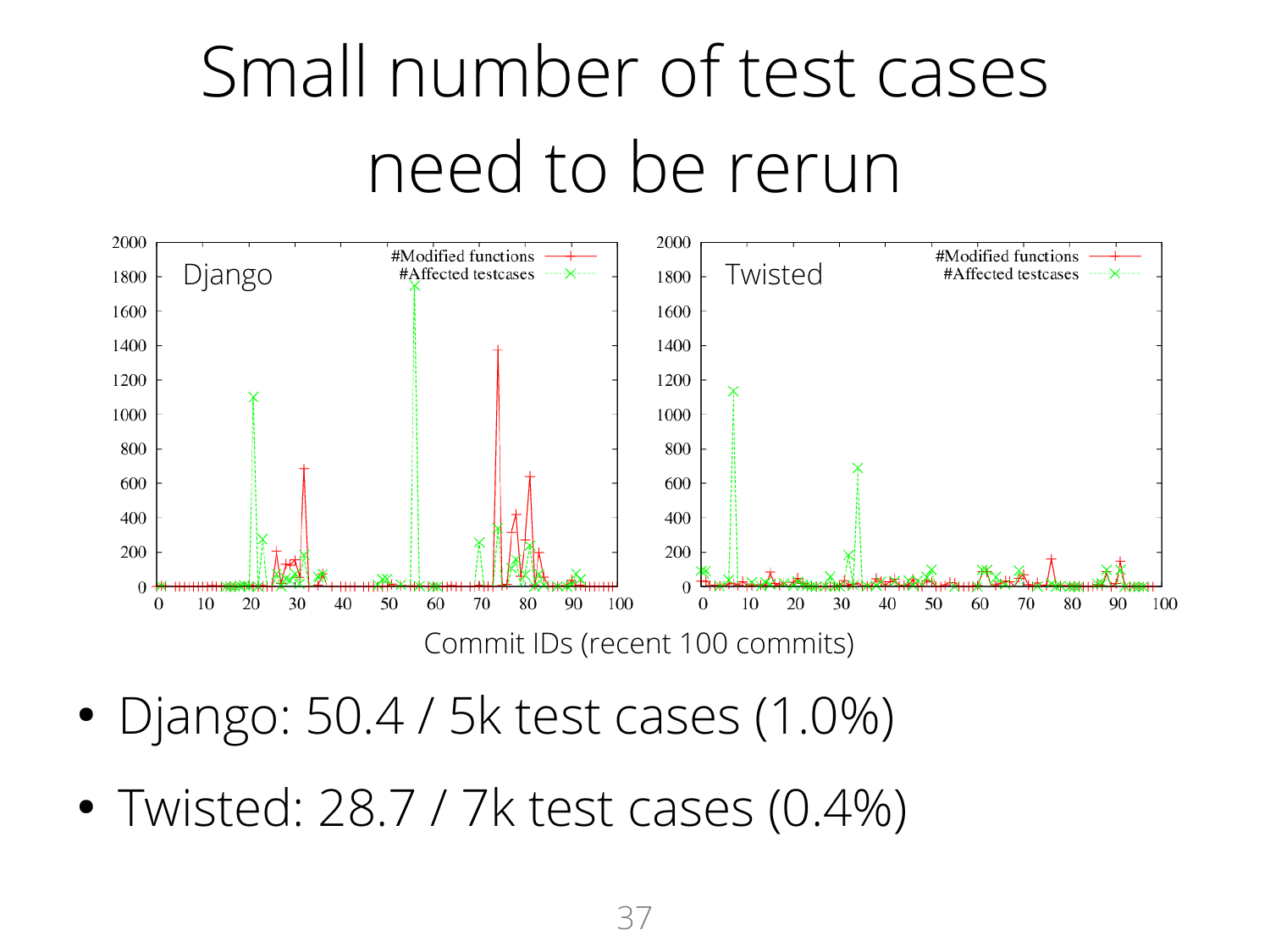# Small number of test cases need to be rerun



Commit IDs (recent 100 commits)

- Django: 50.4 / 5k test cases (1.0%)
- Twisted: 28.7 / 7k test cases (0.4%)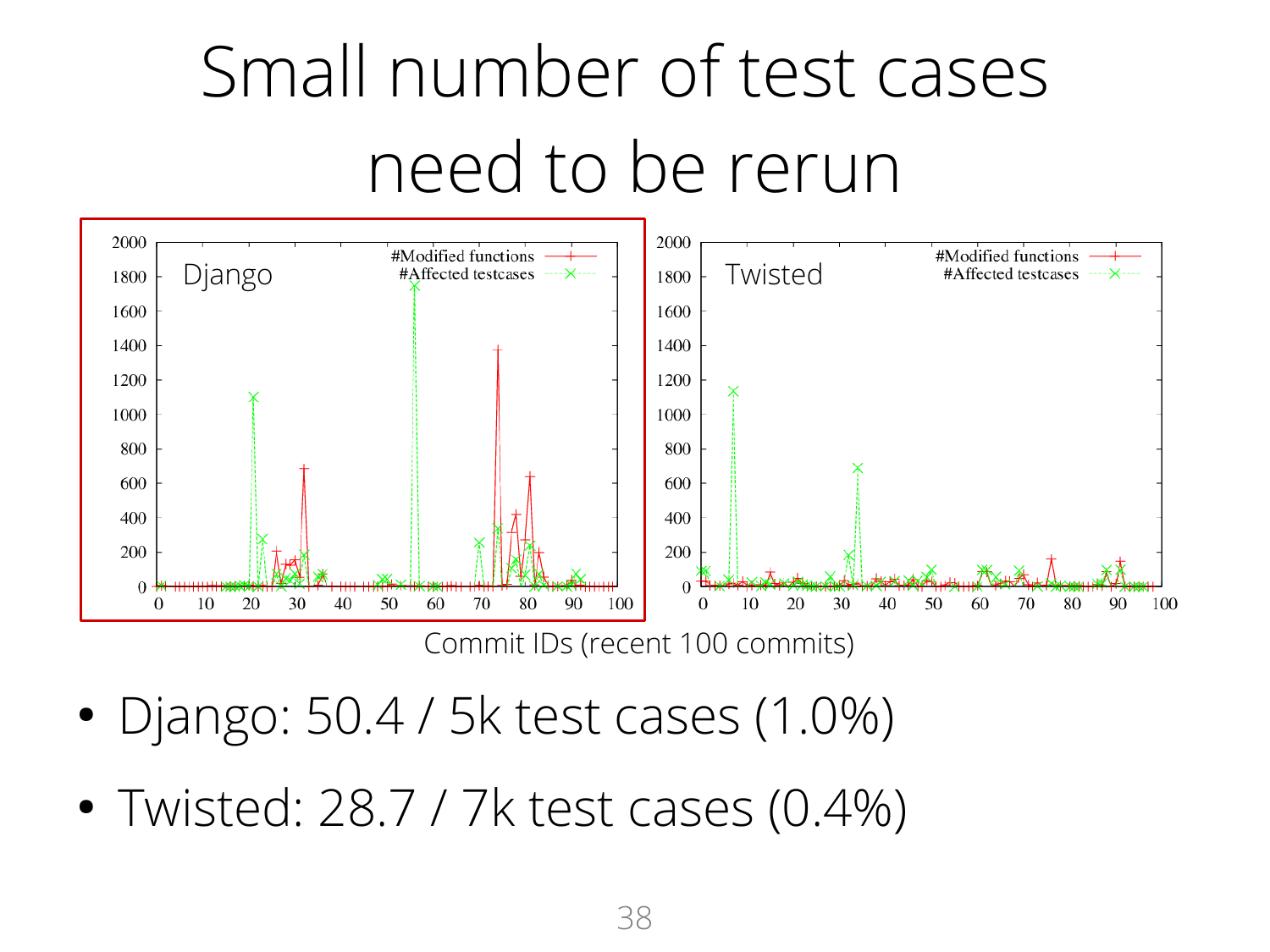# Small number of test cases need to be rerun



Commit IDs (recent 100 commits)

- Django: 50.4 / 5k test cases (1.0%)
- Twisted: 28.7 / 7k test cases (0.4%)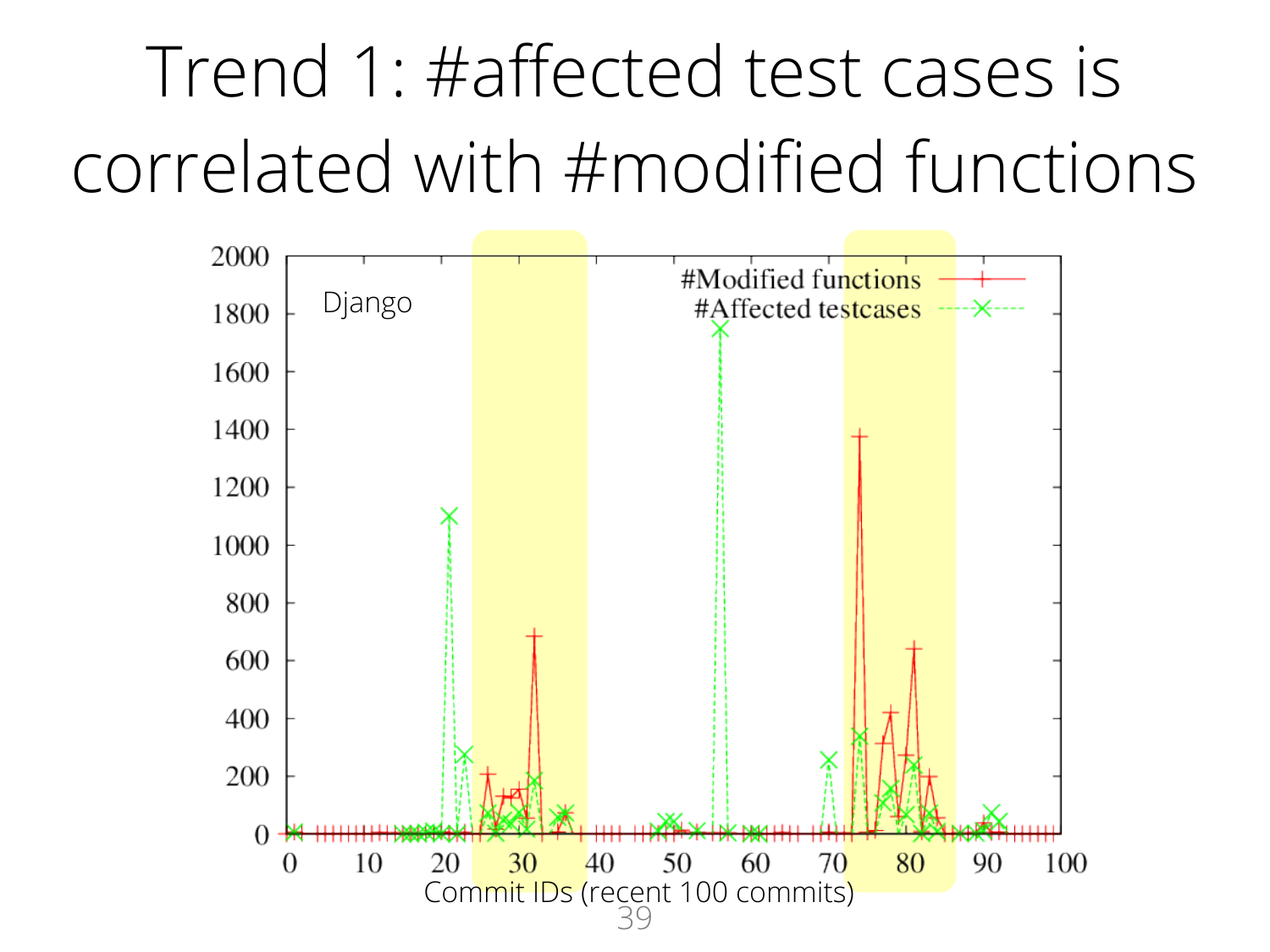# Trend 1: #affected test cases is correlated with #modified functions

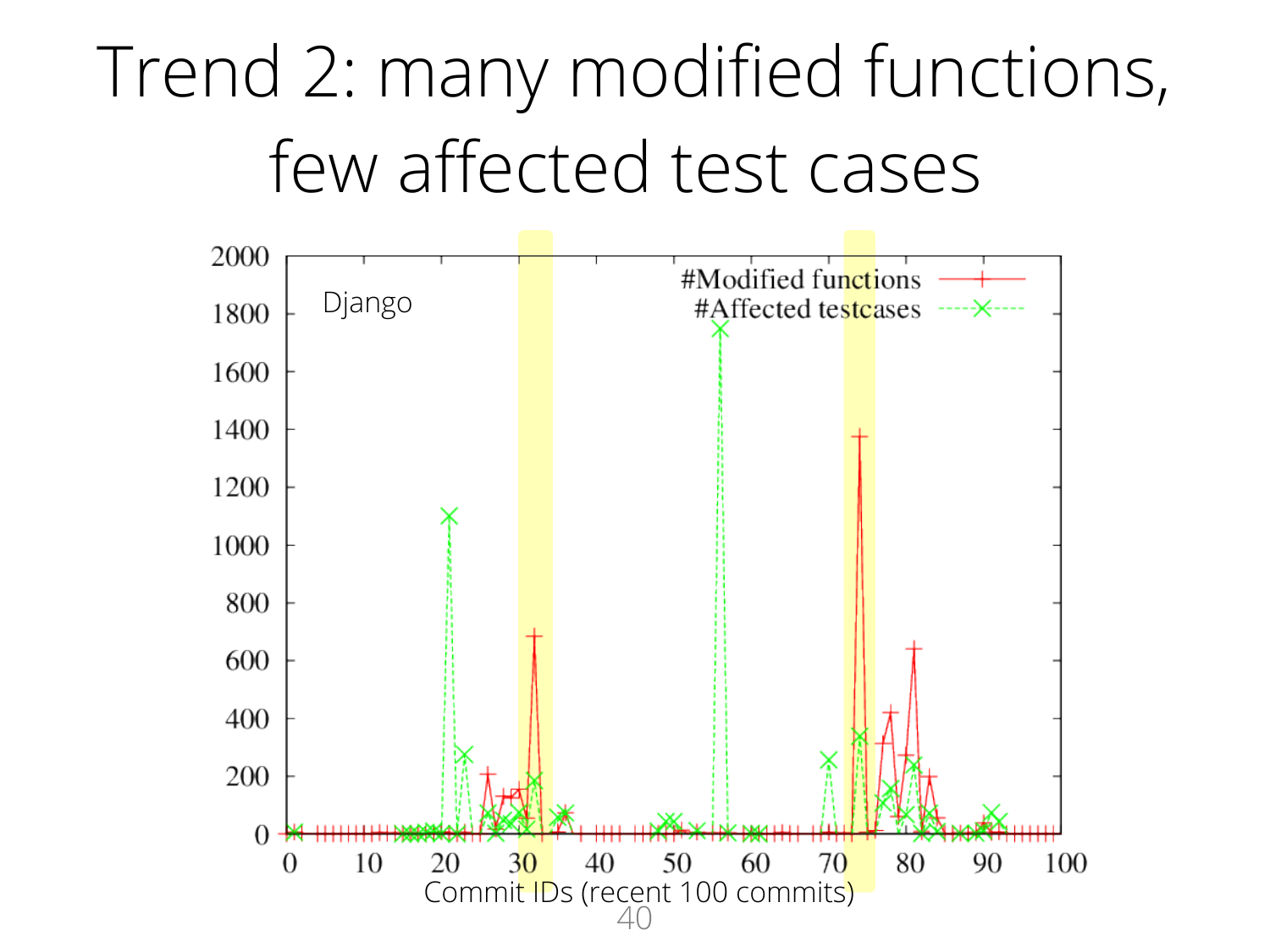### Trend 2: many modified functions, few affected test cases

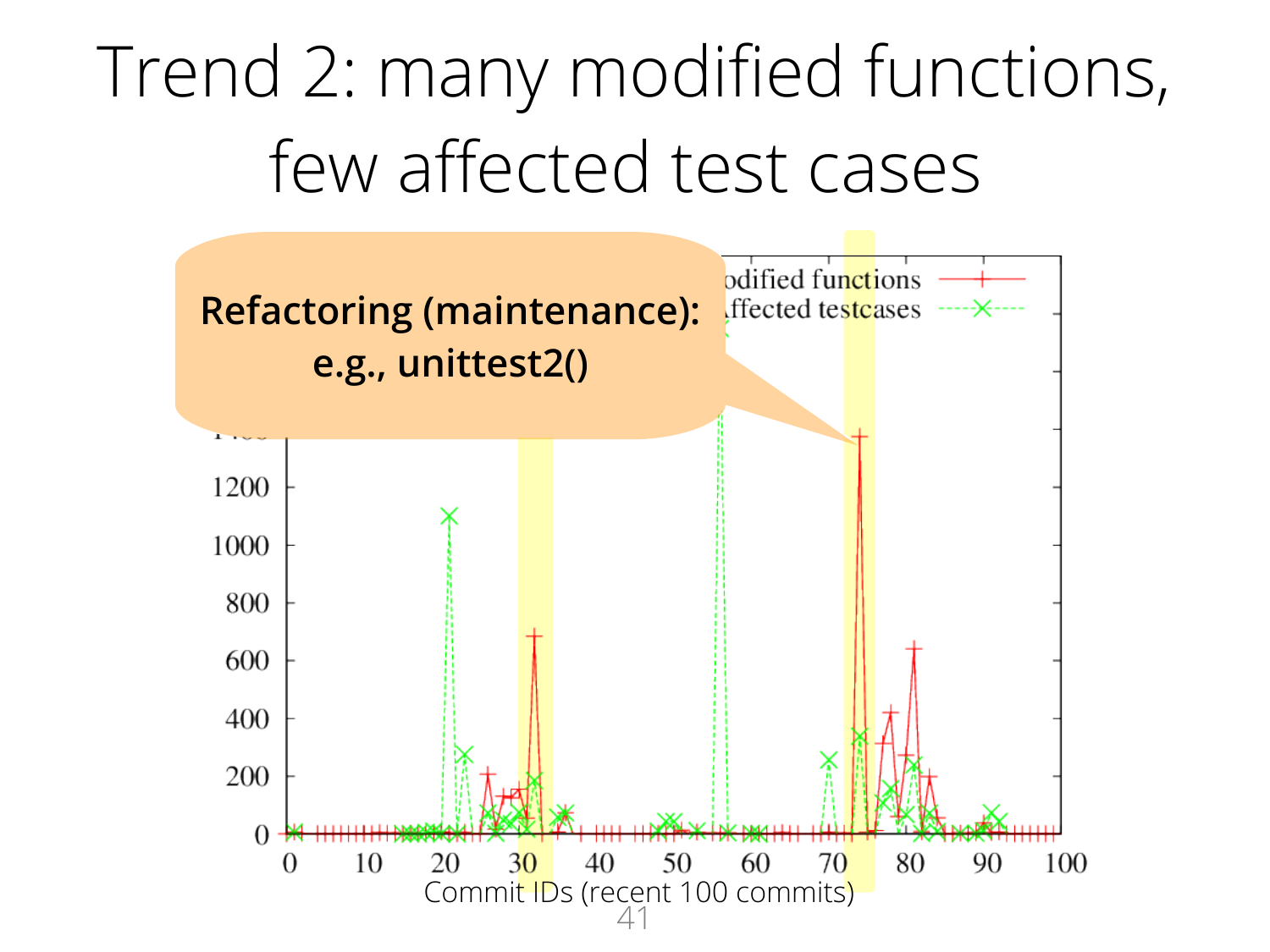### Trend 2: many modified functions, few affected test cases

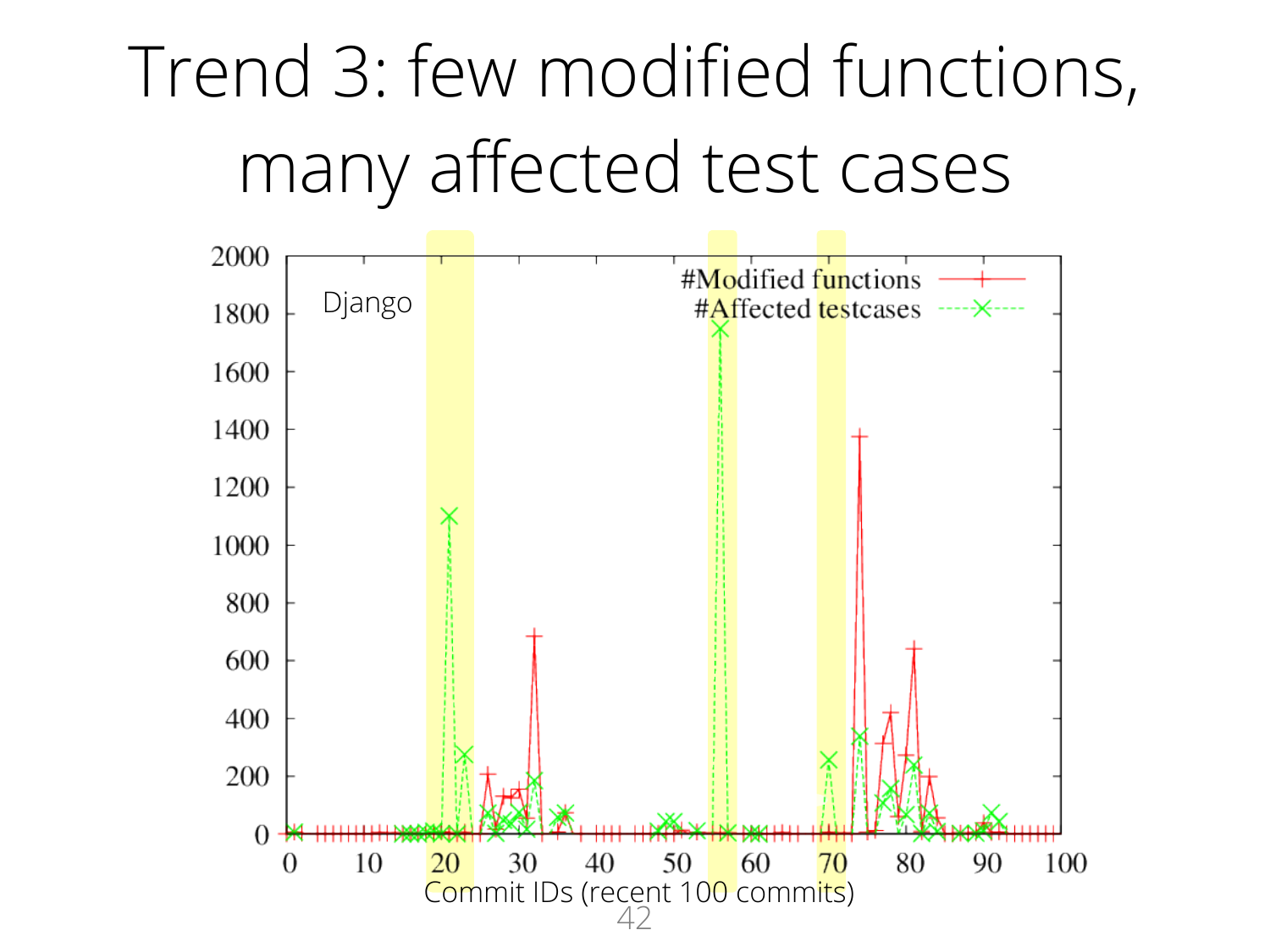### Trend 3: few modified functions, many affected test cases

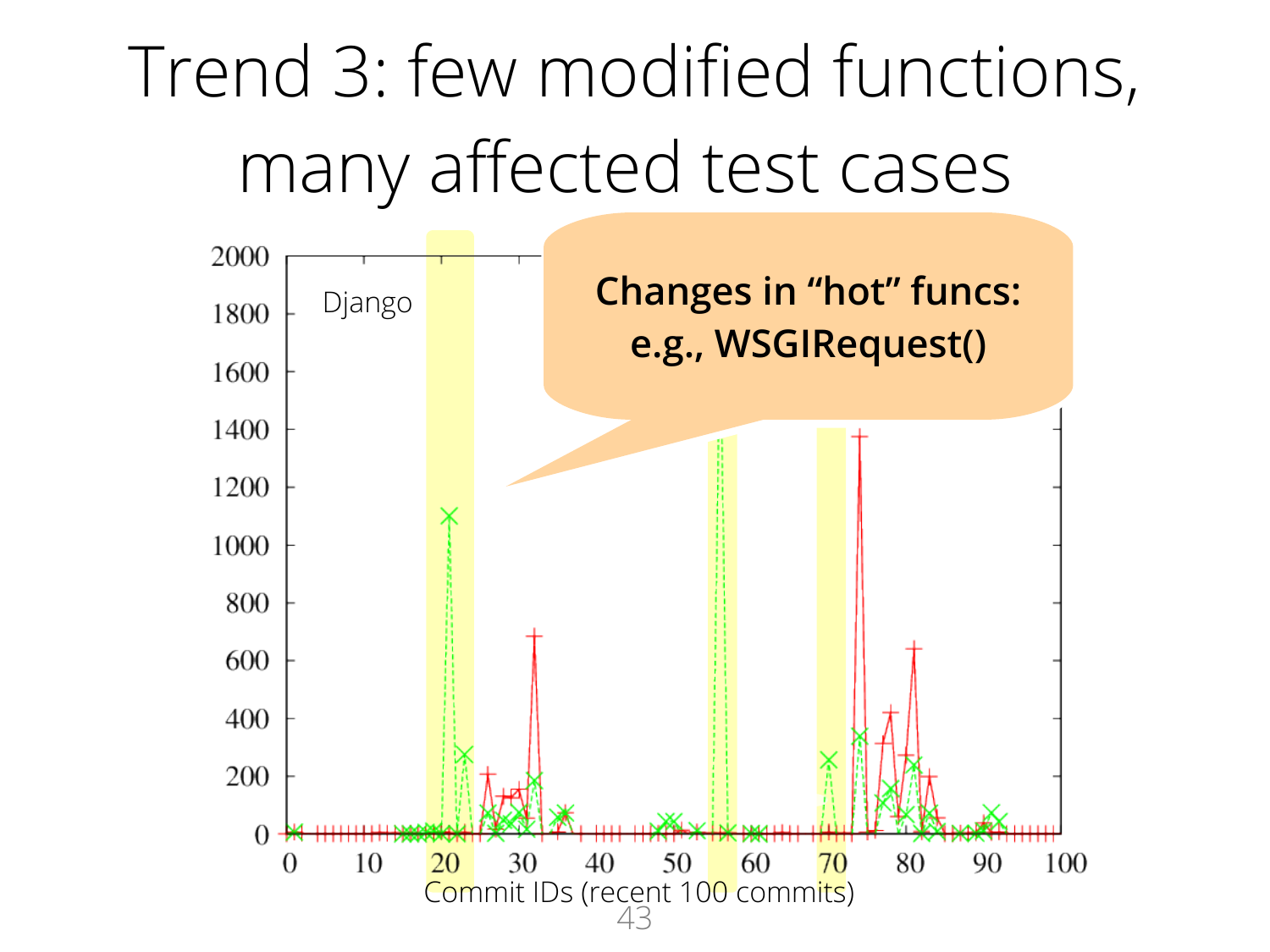### Trend 3: few modified functions, many affected test cases

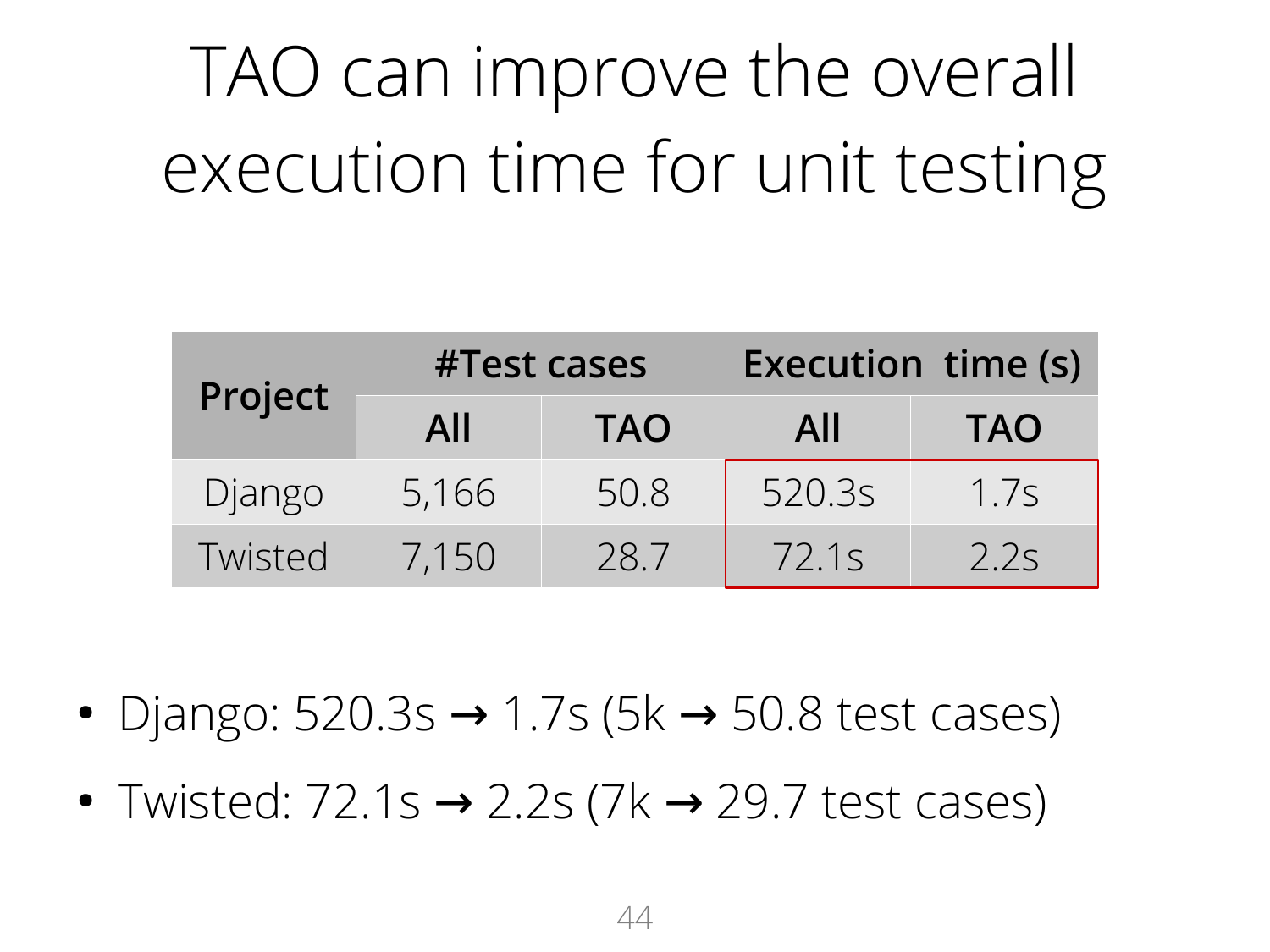# TAO can improve the overall execution time for unit testing

| Project | #Test cases |            | <b>Execution time (s)</b> |            |  |
|---------|-------------|------------|---------------------------|------------|--|
|         | All         | <b>TAO</b> | All                       | <b>TAO</b> |  |
| Django  | 5,166       | 50.8       | 520.3s                    | 1.7s       |  |
| Twisted | 7,150       | 28.7       | 72.1s                     | 2.2s       |  |

- Django:  $520.3s \rightarrow 1.7s$  (5k  $\rightarrow$  50.8 test cases)
- Twisted:  $72.1s \rightarrow 2.2s$  (7k  $\rightarrow$  29.7 test cases)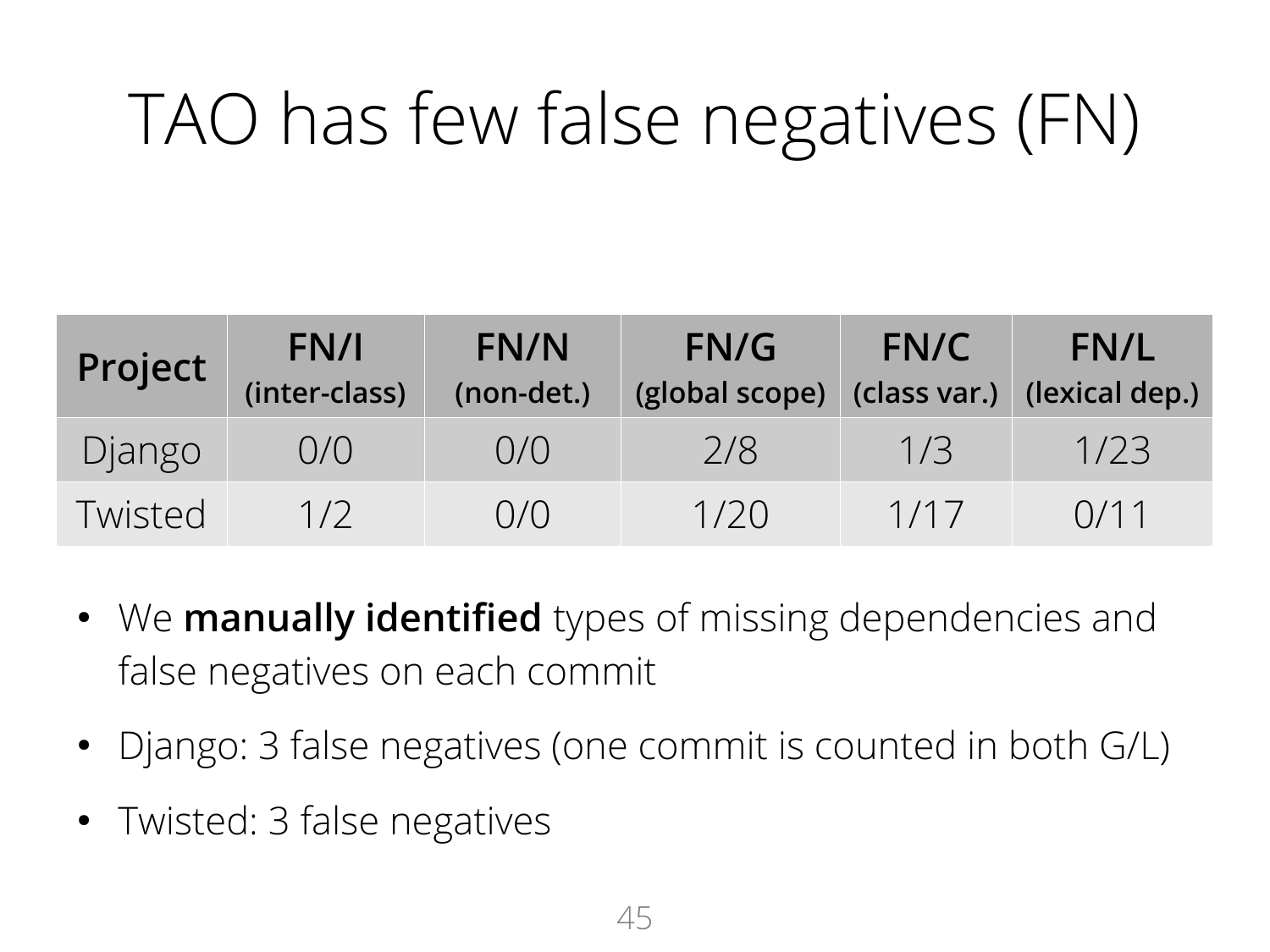### TAO has few false negatives (FN)

| Project | FN/I<br>(inter-class) | FN/N<br>(non-det.) | FN/G<br>(global scope) | FN/C | <b>FN/L</b><br>$\vert$ (class var.) (lexical dep.) |
|---------|-----------------------|--------------------|------------------------|------|----------------------------------------------------|
| Django  | O/O                   | 0/0                | 2/8                    | 1/3  | 1/23                                               |
| Twisted | 1/2                   | O/O                | 1/20                   | 1/17 | 0/11                                               |

- We **manually identified** types of missing dependencies and false negatives on each commit
- Django: 3 false negatives (one commit is counted in both G/L)
- Twisted: 3 false negatives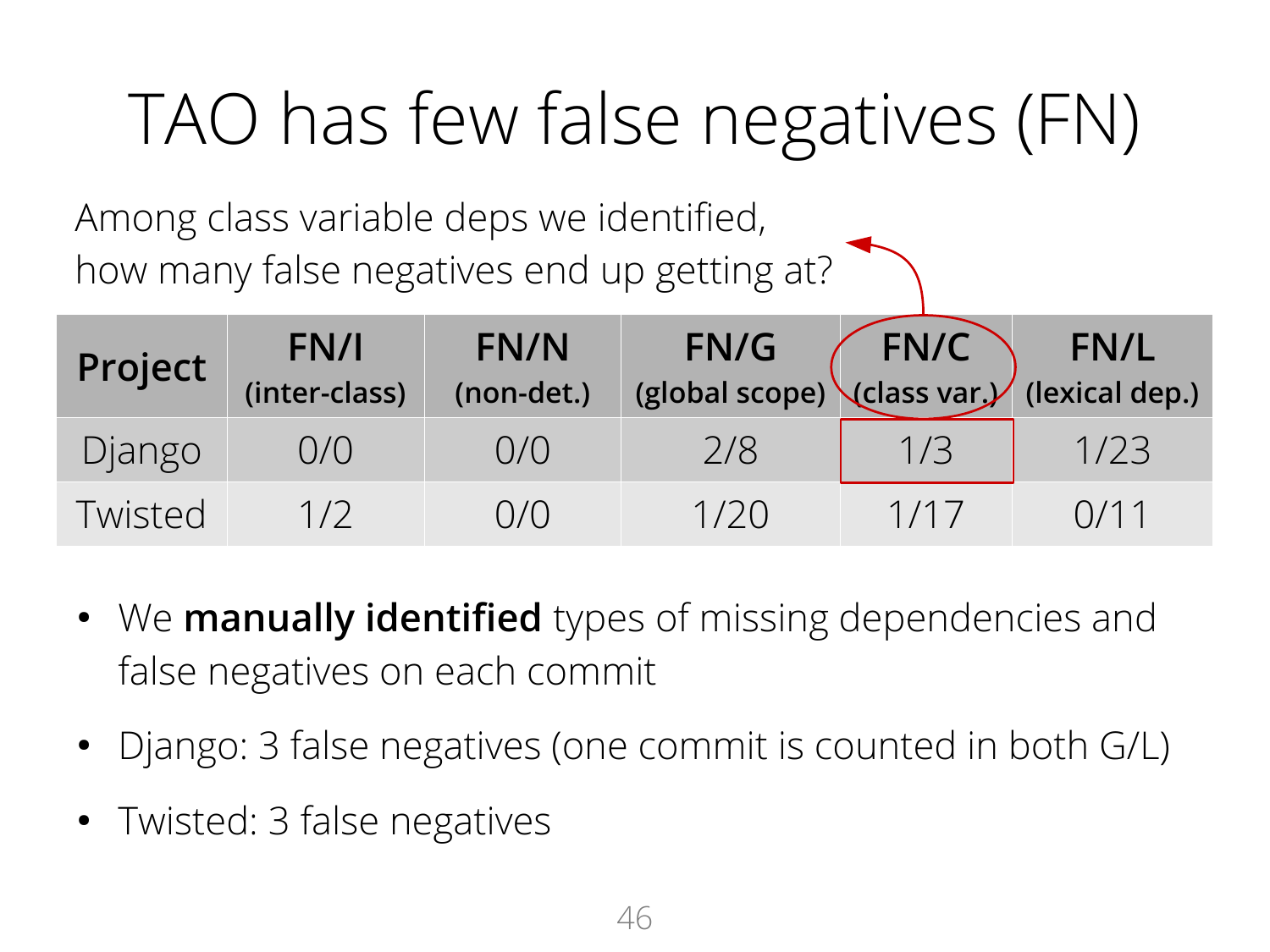### TAO has few false negatives (FN)

Among class variable deps we identified, how many false negatives end up getting at?

| Project | FN/I<br>(inter-class) | FN/N<br>(non-det.) | FN/G<br>FN/G FN/C FN/L<br>(global scope) (class var.) (lexical dep.) | FN/C |      |
|---------|-----------------------|--------------------|----------------------------------------------------------------------|------|------|
| Django  | O/O                   | 0/0                | 2/8                                                                  | 1/3  | 1/23 |
| Twisted | 1/2                   | O/O                | 1/20                                                                 | 1/17 | 0/11 |

- We **manually identified** types of missing dependencies and false negatives on each commit
- Django: 3 false negatives (one commit is counted in both G/L)
- Twisted: 3 false negatives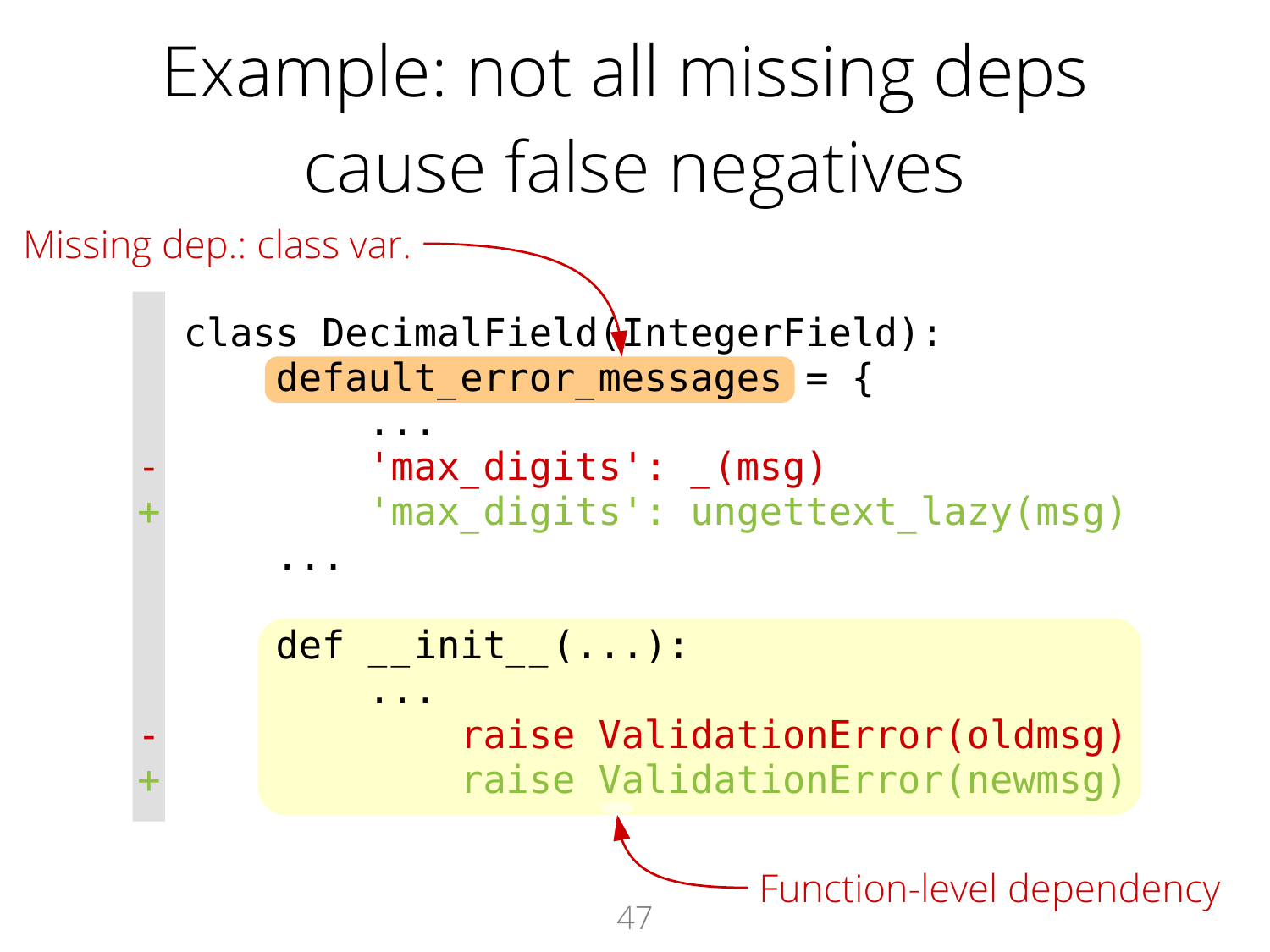```
47
     Example: not all missing deps 
           cause false negatives
      class DecimalField(IntegerField):
          default error messages = {
     ...
              'max digits': (msg)
              'max digits': ungettext lazy(msg)
     ...
           def __init__(...):
     ...
                  raise ValidationError(oldmsg)
                  raise ValidationError(newmsg)
Missing dep.: class var.
                             - Function-level dependency
```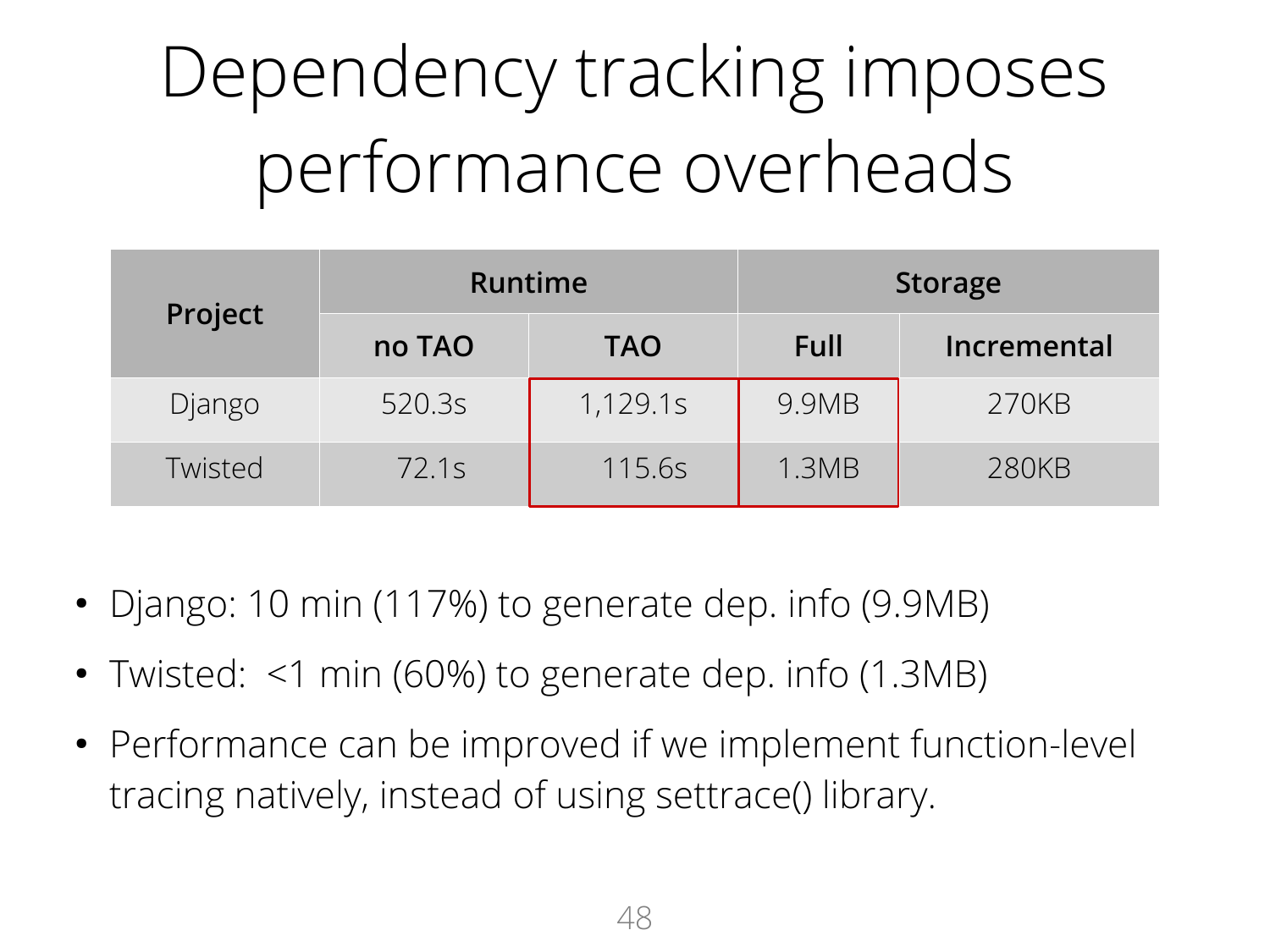# Dependency tracking imposes performance overheads

| Project | <b>Runtime</b> |            | <b>Storage</b> |             |  |
|---------|----------------|------------|----------------|-------------|--|
|         | no TAO         | <b>TAO</b> | <b>Full</b>    | Incremental |  |
| Django  | 520.3s         | 1,129.1s   | 9.9MB          | 270KB       |  |
| Twisted | 72.1s          | 115.6s     | 1.3MB          | 280KB       |  |

- Django: 10 min (117%) to generate dep. info (9.9MB)
- Twisted:  $\leq$ 1 min (60%) to generate dep. info (1.3MB)
- Performance can be improved if we implement function-level tracing natively, instead of using settrace() library.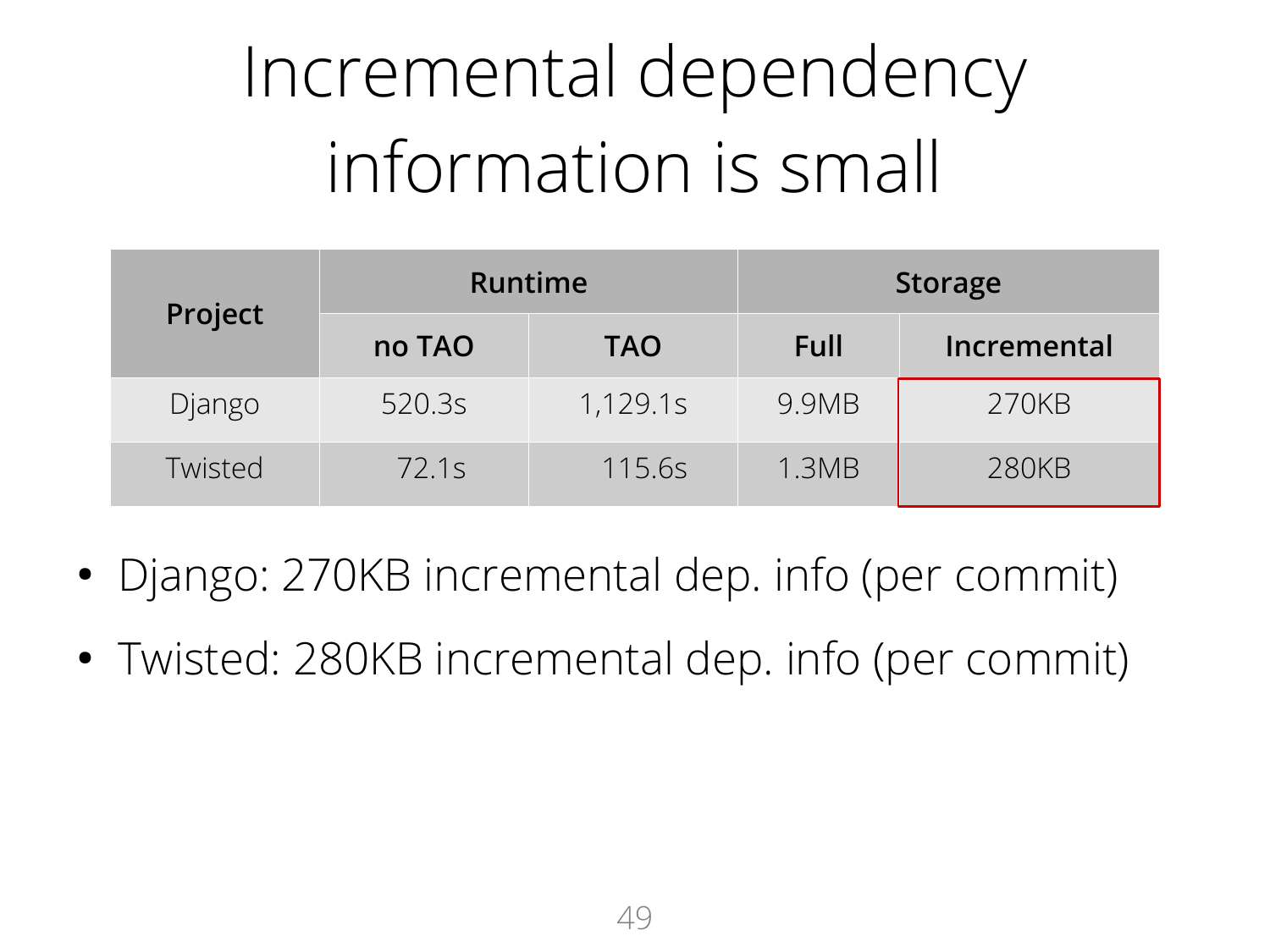# Incremental dependency information is small

| Project | <b>Runtime</b> |            | <b>Storage</b> |             |  |
|---------|----------------|------------|----------------|-------------|--|
|         | no TAO         | <b>TAO</b> | Full           | Incremental |  |
| Django  | 520.3s         | 1,129.1s   | 9.9MB          | 270KB       |  |
| Twisted | 72.1s          | 115.6s     | 1.3MB          | 280KB       |  |

- Django: 270KB incremental dep. info (per commit)
- Twisted: 280KB incremental dep. info (per commit)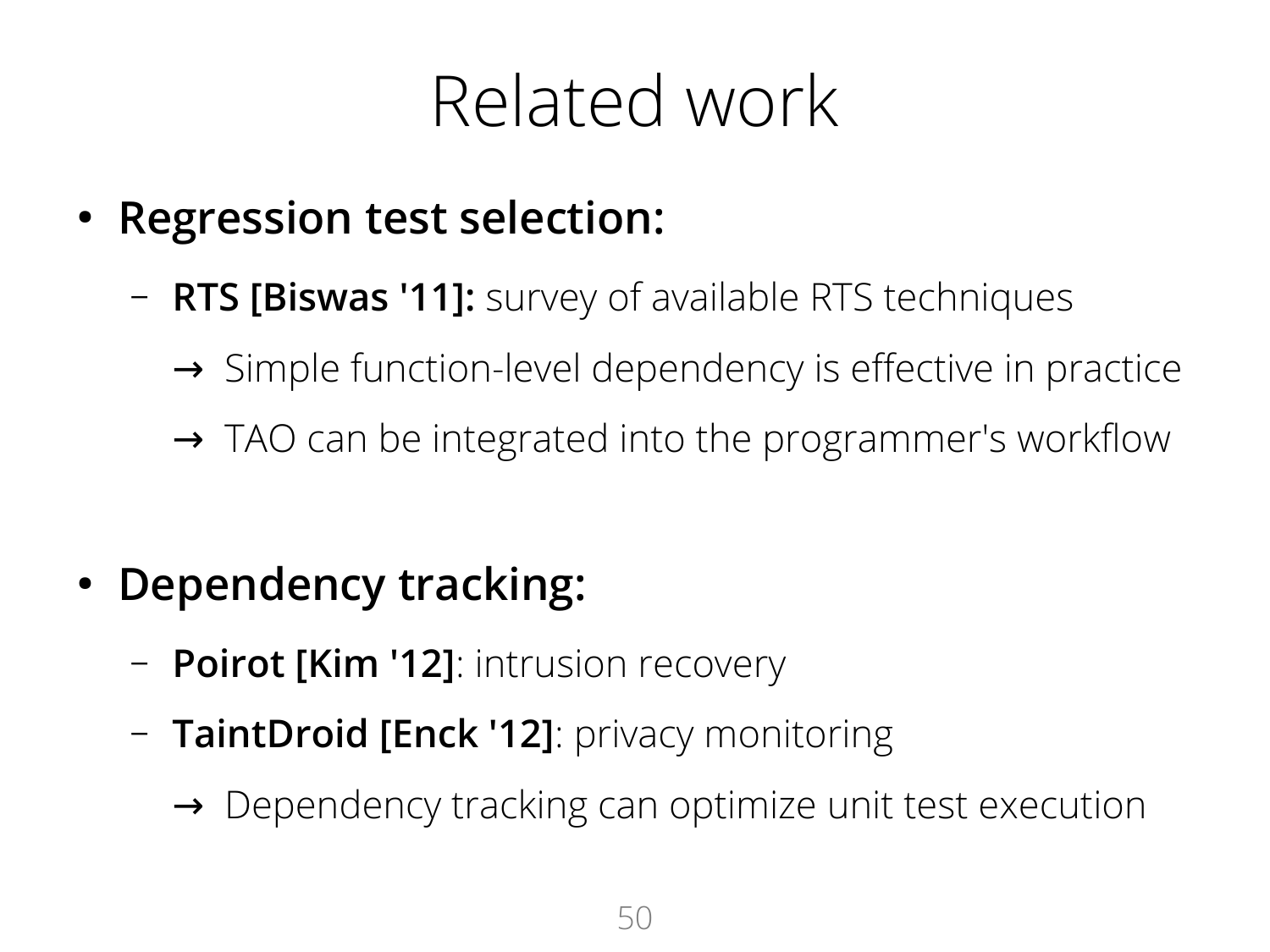### Related work

- **Regression test selection:** 
	- **RTS [Biswas '11]:** survey of available RTS techniques
		- → Simple function-level dependency is effective in practice
		- $\rightarrow$  TAO can be integrated into the programmer's workflow
- Dependency tracking:
	- **Poirot [Kim '12]**: intrusion recovery
	- **TaintDroid [Enck '12]**: privacy monitoring
		- → Dependency tracking can optimize unit test execution